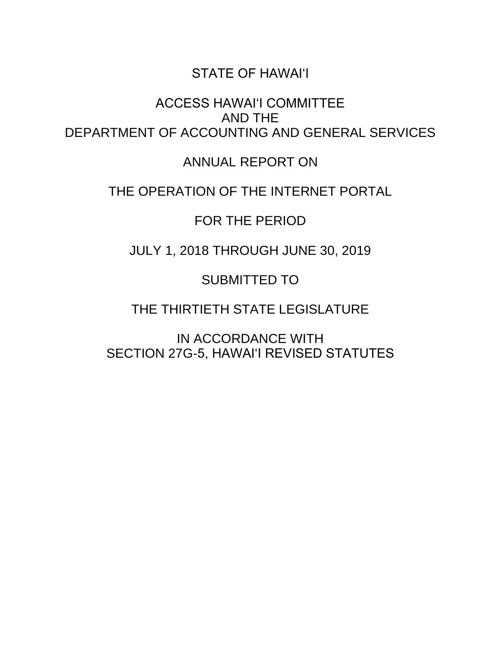### STATE OF HAWAI'I

ACCESS HAWAI'I COMMITTEE AND THE DEPARTMENT OF ACCOUNTING AND GENERAL SERVICES

ANNUAL REPORT ON

### THE OPERATION OF THE INTERNET PORTAL

FOR THE PERIOD

JULY 1, 2018 THROUGH JUNE 30, 2019

SUBMITTED TO

THE THIRTIETH STATE LEGISLATURE

IN ACCORDANCE WITH SECTION 27G-5, HAWAI'I REVISED STATUTES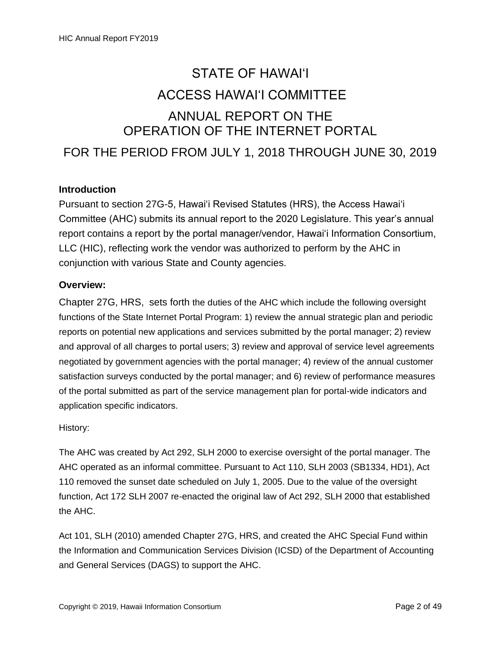# STATE OF HAWAI'I ACCESS HAWAI'I COMMITTEE ANNUAL REPORT ON THE OPERATION OF THE INTERNET PORTAL FOR THE PERIOD FROM JULY 1, 2018 THROUGH JUNE 30, 2019

#### **Introduction**

Pursuant to section 27G-5, Hawai'i Revised Statutes (HRS), the Access Hawai'i Committee (AHC) submits its annual report to the 2020 Legislature. This year's annual report contains a report by the portal manager/vendor, Hawai'i Information Consortium, LLC (HIC), reflecting work the vendor was authorized to perform by the AHC in conjunction with various State and County agencies.

#### **Overview:**

Chapter 27G, HRS, sets forth the duties of the AHC which include the following oversight functions of the State Internet Portal Program: 1) review the annual strategic plan and periodic reports on potential new applications and services submitted by the portal manager; 2) review and approval of all charges to portal users; 3) review and approval of service level agreements negotiated by government agencies with the portal manager; 4) review of the annual customer satisfaction surveys conducted by the portal manager; and 6) review of performance measures of the portal submitted as part of the service management plan for portal-wide indicators and application specific indicators.

History:

The AHC was created by Act 292, SLH 2000 to exercise oversight of the portal manager. The AHC operated as an informal committee. Pursuant to Act 110, SLH 2003 (SB1334, HD1), Act 110 removed the sunset date scheduled on July 1, 2005. Due to the value of the oversight function, Act 172 SLH 2007 re-enacted the original law of Act 292, SLH 2000 that established the AHC.

Act 101, SLH (2010) amended Chapter 27G, HRS, and created the AHC Special Fund within the Information and Communication Services Division (ICSD) of the Department of Accounting and General Services (DAGS) to support the AHC.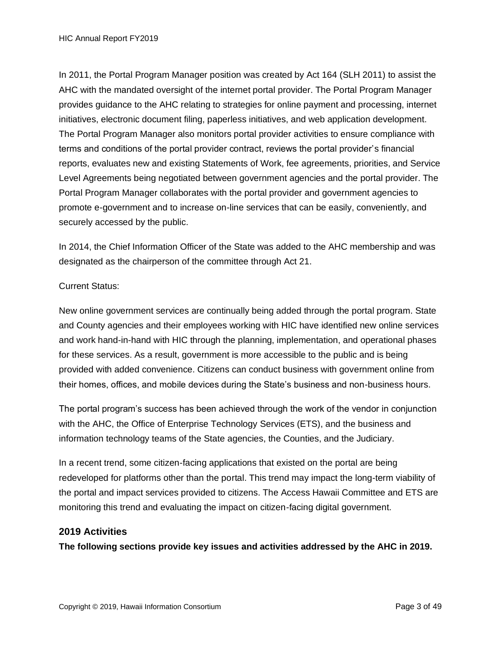In 2011, the Portal Program Manager position was created by Act 164 (SLH 2011) to assist the AHC with the mandated oversight of the internet portal provider. The Portal Program Manager provides guidance to the AHC relating to strategies for online payment and processing, internet initiatives, electronic document filing, paperless initiatives, and web application development. The Portal Program Manager also monitors portal provider activities to ensure compliance with terms and conditions of the portal provider contract, reviews the portal provider's financial reports, evaluates new and existing Statements of Work, fee agreements, priorities, and Service Level Agreements being negotiated between government agencies and the portal provider. The Portal Program Manager collaborates with the portal provider and government agencies to promote e-government and to increase on-line services that can be easily, conveniently, and securely accessed by the public.

In 2014, the Chief Information Officer of the State was added to the AHC membership and was designated as the chairperson of the committee through Act 21.

#### Current Status:

New online government services are continually being added through the portal program. State and County agencies and their employees working with HIC have identified new online services and work hand-in-hand with HIC through the planning, implementation, and operational phases for these services. As a result, government is more accessible to the public and is being provided with added convenience. Citizens can conduct business with government online from their homes, offices, and mobile devices during the State's business and non-business hours.

The portal program's success has been achieved through the work of the vendor in conjunction with the AHC, the Office of Enterprise Technology Services (ETS), and the business and information technology teams of the State agencies, the Counties, and the Judiciary.

In a recent trend, some citizen-facing applications that existed on the portal are being redeveloped for platforms other than the portal. This trend may impact the long-term viability of the portal and impact services provided to citizens. The Access Hawaii Committee and ETS are monitoring this trend and evaluating the impact on citizen-facing digital government.

#### **2019 Activities**

**The following sections provide key issues and activities addressed by the AHC in 2019.**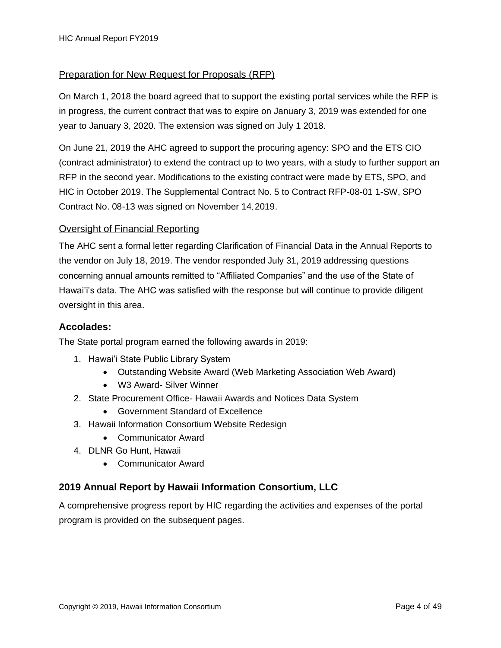#### Preparation for New Request for Proposals (RFP)

On March 1, 2018 the board agreed that to support the existing portal services while the RFP is in progress, the current contract that was to expire on January 3, 2019 was extended for one year to January 3, 2020. The extension was signed on July 1 2018.

On June 21, 2019 the AHC agreed to support the procuring agency: SPO and the ETS CIO (contract administrator) to extend the contract up to two years, with a study to further support an RFP in the second year. Modifications to the existing contract were made by ETS, SPO, and HIC in October 2019. The Supplemental Contract No. 5 to Contract RFP-08-01 1-SW, SPO Contract No. 08-13 was signed on November 14, 2019.

#### Oversight of Financial Reporting

The AHC sent a formal letter regarding Clarification of Financial Data in the Annual Reports to the vendor on July 18, 2019. The vendor responded July 31, 2019 addressing questions concerning annual amounts remitted to "Affiliated Companies" and the use of the State of Hawai'i's data. The AHC was satisfied with the response but will continue to provide diligent oversight in this area.

#### **Accolades:**

The State portal program earned the following awards in 2019:

- 1. Hawai'i State Public Library System
	- Outstanding Website Award (Web Marketing Association Web Award)
	- W3 Award- Silver Winner
- 2. State Procurement Office- Hawaii Awards and Notices Data System
	- Government Standard of Excellence
- 3. Hawaii Information Consortium Website Redesign
	- Communicator Award
- 4. DLNR Go Hunt, Hawaii
	- Communicator Award

#### **2019 Annual Report by Hawaii Information Consortium, LLC**

A comprehensive progress report by HIC regarding the activities and expenses of the portal program is provided on the subsequent pages.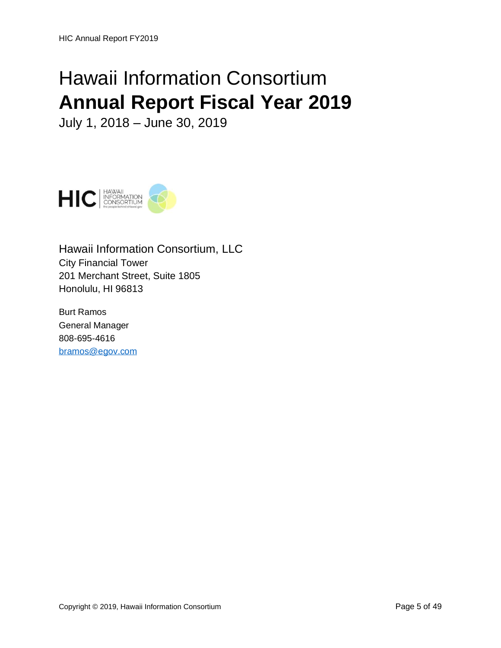# Hawaii Information Consortium **Annual Report Fiscal Year 2019**

July 1, 2018 – June 30, 2019



Hawaii Information Consortium, LLC City Financial Tower 201 Merchant Street, Suite 1805 Honolulu, HI 96813

Burt Ramos General Manager 808-695-4616 [bramos@egov.com](mailto:Bramos@egov.com)

Copyright © 2019, Hawaii Information Consortium **Page 5 of 49** Page 5 of 49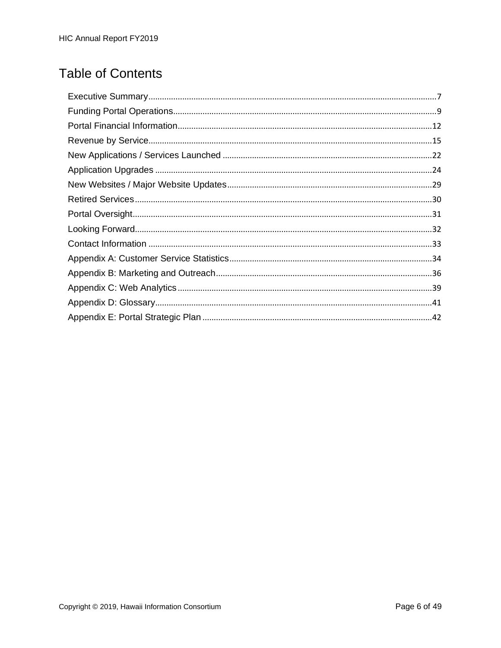# **Table of Contents**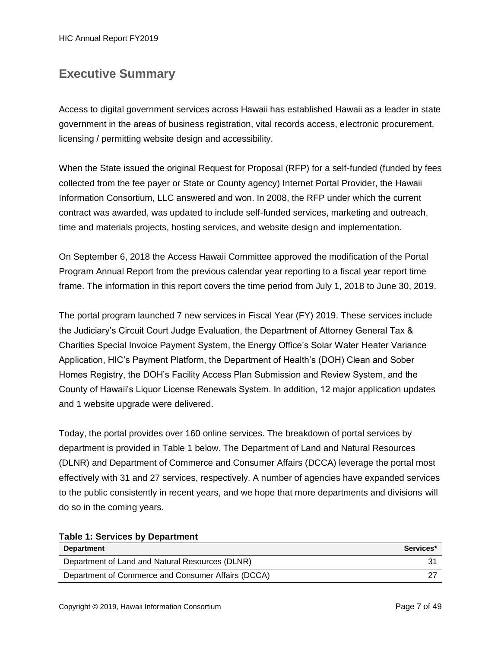HIC Annual Report FY2019

### <span id="page-6-0"></span>**Executive Summary**

Access to digital government services across Hawaii has established Hawaii as a leader in state government in the areas of business registration, vital records access, electronic procurement, licensing / permitting website design and accessibility.

When the State issued the original Request for Proposal (RFP) for a self-funded (funded by fees collected from the fee payer or State or County agency) Internet Portal Provider, the Hawaii Information Consortium, LLC answered and won. In 2008, the RFP under which the current contract was awarded, was updated to include self-funded services, marketing and outreach, time and materials projects, hosting services, and website design and implementation.

On September 6, 2018 the Access Hawaii Committee approved the modification of the Portal Program Annual Report from the previous calendar year reporting to a fiscal year report time frame. The information in this report covers the time period from July 1, 2018 to June 30, 2019.

The portal program launched 7 new services in Fiscal Year (FY) 2019. These services include the Judiciary's Circuit Court Judge Evaluation, the Department of Attorney General Tax & Charities Special Invoice Payment System, the Energy Office's Solar Water Heater Variance Application, HIC's Payment Platform, the Department of Health's (DOH) Clean and Sober Homes Registry, the DOH's Facility Access Plan Submission and Review System, and the County of Hawaii's Liquor License Renewals System. In addition, 12 major application updates and 1 website upgrade were delivered.

Today, the portal provides over 160 online services. The breakdown of portal services by department is provided in Table 1 below. The Department of Land and Natural Resources (DLNR) and Department of Commerce and Consumer Affairs (DCCA) leverage the portal most effectively with 31 and 27 services, respectively. A number of agencies have expanded services to the public consistently in recent years, and we hope that more departments and divisions will do so in the coming years.

| rable 1. Services by Department                    |           |
|----------------------------------------------------|-----------|
| <b>Department</b>                                  | Services* |
| Department of Land and Natural Resources (DLNR)    |           |
| Department of Commerce and Consumer Affairs (DCCA) |           |

#### **Table 1: Services by Department**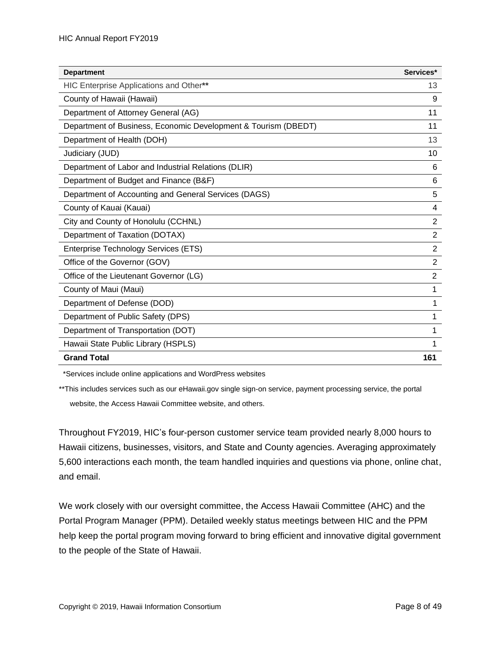| <b>Department</b>                                              | Services*      |
|----------------------------------------------------------------|----------------|
| HIC Enterprise Applications and Other**                        | 13             |
| County of Hawaii (Hawaii)                                      | 9              |
| Department of Attorney General (AG)                            | 11             |
| Department of Business, Economic Development & Tourism (DBEDT) | 11             |
| Department of Health (DOH)                                     | 13             |
| Judiciary (JUD)                                                | 10             |
| Department of Labor and Industrial Relations (DLIR)            | 6              |
| Department of Budget and Finance (B&F)                         | 6              |
| Department of Accounting and General Services (DAGS)           | 5              |
| County of Kauai (Kauai)                                        | 4              |
| City and County of Honolulu (CCHNL)                            | $\overline{2}$ |
| Department of Taxation (DOTAX)                                 | $\overline{2}$ |
| Enterprise Technology Services (ETS)                           | $\overline{2}$ |
| Office of the Governor (GOV)                                   | $\overline{2}$ |
| Office of the Lieutenant Governor (LG)                         | $\overline{2}$ |
| County of Maui (Maui)                                          | 1              |
| Department of Defense (DOD)                                    |                |
| Department of Public Safety (DPS)                              |                |
| Department of Transportation (DOT)                             |                |
| Hawaii State Public Library (HSPLS)                            |                |
| <b>Grand Total</b>                                             | 161            |

\*Services include online applications and WordPress websites

\*\*This includes services such as our eHawaii.gov single sign-on service, payment processing service, the portal website, the Access Hawaii Committee website, and others.

Throughout FY2019, HIC's four-person customer service team provided nearly 8,000 hours to Hawaii citizens, businesses, visitors, and State and County agencies. Averaging approximately 5,600 interactions each month, the team handled inquiries and questions via phone, online chat, and email.

We work closely with our oversight committee, the Access Hawaii Committee (AHC) and the Portal Program Manager (PPM). Detailed weekly status meetings between HIC and the PPM help keep the portal program moving forward to bring efficient and innovative digital government to the people of the State of Hawaii.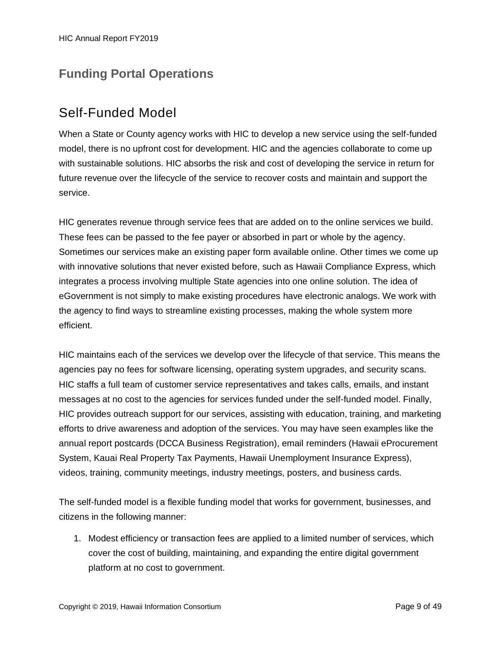### <span id="page-8-0"></span>**Funding Portal Operations**

### Self-Funded Model

When a State or County agency works with HIC to develop a new service using the self-funded model, there is no upfront cost for development. HIC and the agencies collaborate to come up with sustainable solutions. HIC absorbs the risk and cost of developing the service in return for future revenue over the lifecycle of the service to recover costs and maintain and support the service.

HIC generates revenue through service fees that are added on to the online services we build. These fees can be passed to the fee payer or absorbed in part or whole by the agency. Sometimes our services make an existing paper form available online. Other times we come up with innovative solutions that never existed before, such as Hawaii Compliance Express, which integrates a process involving multiple State agencies into one online solution. The idea of eGovernment is not simply to make existing procedures have electronic analogs. We work with the agency to find ways to streamline existing processes, making the whole system more efficient.

HIC maintains each of the services we develop over the lifecycle of that service. This means the agencies pay no fees for software licensing, operating system upgrades, and security scans. HIC staffs a full team of customer service representatives and takes calls, emails, and instant messages at no cost to the agencies for services funded under the self-funded model. Finally, HIC provides outreach support for our services, assisting with education, training, and marketing efforts to drive awareness and adoption of the services. You may have seen examples like the annual report postcards (DCCA Business Registration), email reminders (Hawaii eProcurement System, Kauai Real Property Tax Payments, Hawaii Unemployment Insurance Express), videos, training, community meetings, industry meetings, posters, and business cards.

The self-funded model is a flexible funding model that works for government, businesses, and citizens in the following manner:

1. Modest efficiency or transaction fees are applied to a limited number of services, which cover the cost of building, maintaining, and expanding the entire digital government platform at no cost to government.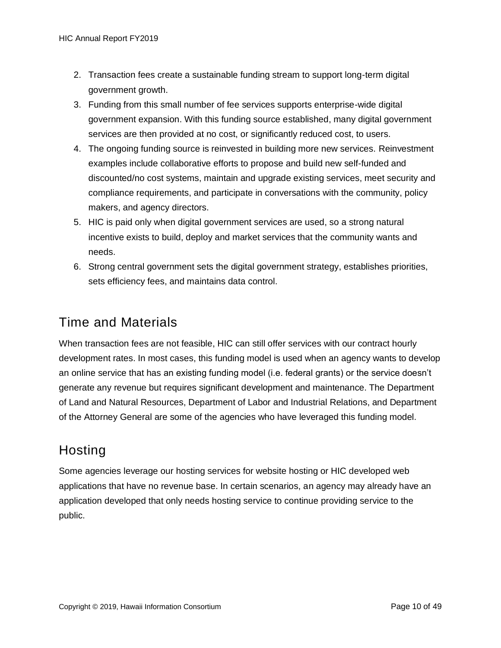- 2. Transaction fees create a sustainable funding stream to support long-term digital government growth.
- 3. Funding from this small number of fee services supports enterprise-wide digital government expansion. With this funding source established, many digital government services are then provided at no cost, or significantly reduced cost, to users.
- 4. The ongoing funding source is reinvested in building more new services. Reinvestment examples include collaborative efforts to propose and build new self-funded and discounted/no cost systems, maintain and upgrade existing services, meet security and compliance requirements, and participate in conversations with the community, policy makers, and agency directors.
- 5. HIC is paid only when digital government services are used, so a strong natural incentive exists to build, deploy and market services that the community wants and needs.
- 6. Strong central government sets the digital government strategy, establishes priorities, sets efficiency fees, and maintains data control.

### Time and Materials

When transaction fees are not feasible, HIC can still offer services with our contract hourly development rates. In most cases, this funding model is used when an agency wants to develop an online service that has an existing funding model (i.e. federal grants) or the service doesn't generate any revenue but requires significant development and maintenance. The Department of Land and Natural Resources, Department of Labor and Industrial Relations, and Department of the Attorney General are some of the agencies who have leveraged this funding model.

# **Hosting**

Some agencies leverage our hosting services for website hosting or HIC developed web applications that have no revenue base. In certain scenarios, an agency may already have an application developed that only needs hosting service to continue providing service to the public.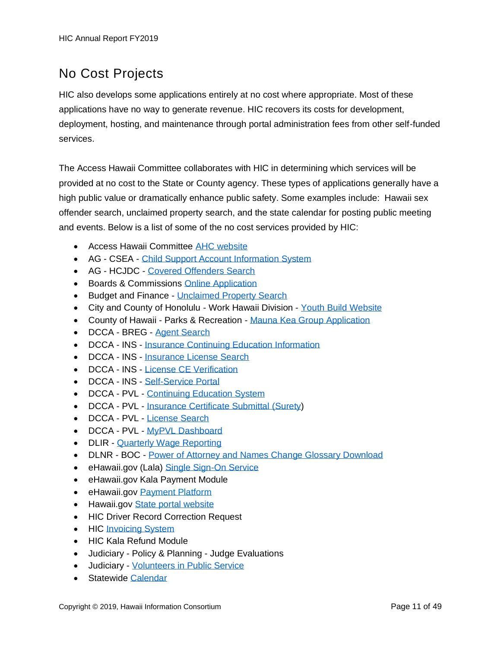# No Cost Projects

HIC also develops some applications entirely at no cost where appropriate. Most of these applications have no way to generate revenue. HIC recovers its costs for development, deployment, hosting, and maintenance through portal administration fees from other self-funded services.

The Access Hawaii Committee collaborates with HIC in determining which services will be provided at no cost to the State or County agency. These types of applications generally have a high public value or dramatically enhance public safety. Some examples include: Hawaii sex offender search, unclaimed property search, and the state calendar for posting public meeting and events. Below is a list of some of the no cost services provided by HIC:

- Access Hawaii Committee [AHC website](http://ahc.ehawaii.gov/)
- AG CSEA [Child Support Account Information System](http://csea.ehawaii.gov/iwa)
- AG HCJDC [Covered Offenders Search](http://sexoffenders.ehawaii.gov/)
- Boards & Commissions [Online Application](http://boards.hawaii.gov/apply/apply-for-a-board/)
- Budget and Finance [Unclaimed Property Search](https://www.ehawaii.gov/lilo/app)
- City and County of Honolulu Work Hawaii Division [Youth Build Website](http://youthbuildhonolulu.org/)
- County of Hawaii Parks & Recreation [Mauna Kea Group Application](https://maunakea.ehawaii.gov/)
- DCCA BREG [Agent Search](https://hbe.ehawaii.gov/agentsearch/search.html)
- DCCA INS [Insurance Continuing Education Information](https://www.ehawaii.gov/dcca/insprovider/exe/provider.cgi)
- DCCA INS [Insurance License Search](http://insurance.ehawaii.gov/hils/)
- DCCA INS [License CE Verification](https://www.ehawaii.gov/dcca/insce/exe/ce.cgi)
- DCCA INS [Self-Service Portal](https://insurance.ehawaii.gov/diss)
- DCCA PVL [Continuing Education System](https://ce.ehawaii.gov/)
- DCCA PVL [Insurance Certificate Submittal](http://pvl.ehawaii.gov/inikua) (Surety)
- DCCA PVL [License Search](https://pvl.ehawaii.gov/pvlsearch/)
- DCCA PVL [MyPVL Dashboard](https://pvl.ehawaii.gov/mypvl/)
- DLIR [Quarterly Wage Reporting](http://hui.ehawaii.gov/hui)
- DLNR BOC [Power of Attorney and Names Change Glossary Download](https://www.ehawaii.gov/SecureDownload/bocglossary/)
- eHawaii.gov (Lala) [Single Sign-On Service](https://login.ehawaii.gov/)
- eHawaii.gov Kala Payment Module
- eHawaii.gov [Payment Platform](https://pay.ehawaii.gov/)
- Hawaii.gov [State portal website](http://hawaii.gov/)
- HIC Driver Record Correction Request
- HIC [Invoicing System](https://invoice.ehawaii.gov/)
- HIC Kala Refund Module
- Judiciary Policy & Planning Judge Evaluations
- Judiciary [Volunteers in Public Service](http://vips.ehawaii.gov/vips)
- Statewide [Calendar](http://calendar.ehawaii.gov/)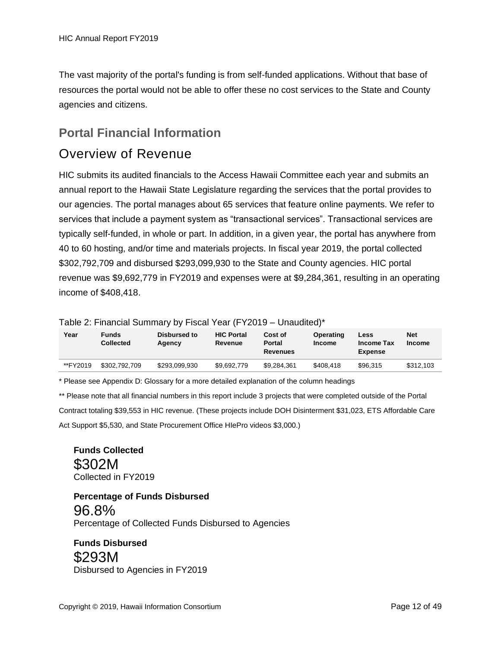The vast majority of the portal's funding is from self-funded applications. Without that base of resources the portal would not be able to offer these no cost services to the State and County agencies and citizens.

### <span id="page-11-0"></span>**Portal Financial Information**

### Overview of Revenue

HIC submits its audited financials to the Access Hawaii Committee each year and submits an annual report to the Hawaii State Legislature regarding the services that the portal provides to our agencies. The portal manages about 65 services that feature online payments. We refer to services that include a payment system as "transactional services". Transactional services are typically self-funded, in whole or part. In addition, in a given year, the portal has anywhere from 40 to 60 hosting, and/or time and materials projects. In fiscal year 2019, the portal collected \$302,792,709 and disbursed \$293,099,930 to the State and County agencies. HIC portal revenue was \$9,692,779 in FY2019 and expenses were at \$9,284,361, resulting in an operating income of \$408,418.

Table 2: Financial Summary by Fiscal Year (FY2019 – Unaudited)\*

| Year     | <b>Funds</b><br><b>Collected</b> | Disbursed to<br>Agency | <b>HIC Portal</b><br>Revenue | Cost of<br>Portal<br><b>Revenues</b> | Operating<br><b>Income</b> | Less<br>Income Tax<br><b>Expense</b> | <b>Net</b><br><b>Income</b> |
|----------|----------------------------------|------------------------|------------------------------|--------------------------------------|----------------------------|--------------------------------------|-----------------------------|
| **FY2019 | \$302.792.709                    | \$293,099,930          | \$9.692.779                  | \$9.284.361                          | \$408.418                  | \$96,315                             | \$312.103                   |

\* Please see Appendix D: Glossary for a more detailed explanation of the column headings

\*\* Please note that all financial numbers in this report include 3 projects that were completed outside of the Portal

Contract totaling \$39,553 in HIC revenue. (These projects include DOH Disinterment \$31,023, ETS Affordable Care Act Support \$5,530, and State Procurement Office HIePro videos \$3,000.)

**Funds Collected** \$302M Collected in FY2019

**Percentage of Funds Disbursed** 96.8% Percentage of Collected Funds Disbursed to Agencies

**Funds Disbursed** \$293M Disbursed to Agencies in FY2019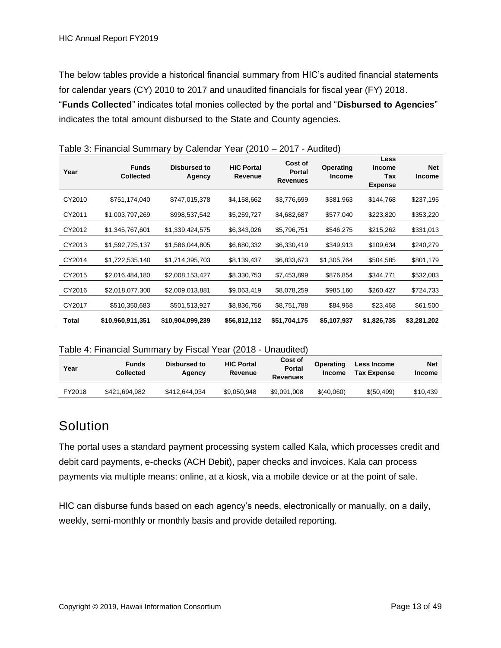The below tables provide a historical financial summary from HIC's audited financial statements for calendar years (CY) 2010 to 2017 and unaudited financials for fiscal year (FY) 2018. "**Funds Collected**" indicates total monies collected by the portal and "**Disbursed to Agencies**" indicates the total amount disbursed to the State and County agencies.

| Year   | <b>Funds</b><br><b>Collected</b> | Disbursed to<br>Agency | <b>HIC Portal</b><br>Revenue | Cost of<br><b>Portal</b><br><b>Revenues</b> | Operating<br><b>Income</b> | Less<br><b>Income</b><br>Tax<br><b>Expense</b> | <b>Net</b><br><b>Income</b> |
|--------|----------------------------------|------------------------|------------------------------|---------------------------------------------|----------------------------|------------------------------------------------|-----------------------------|
| CY2010 | \$751,174,040                    | \$747,015,378          | \$4,158,662                  | \$3,776,699                                 | \$381,963                  | \$144,768                                      | \$237,195                   |
| CY2011 | \$1,003,797,269                  | \$998,537,542          | \$5,259,727                  | \$4,682,687                                 | \$577,040                  | \$223,820                                      | \$353,220                   |
| CY2012 | \$1,345,767,601                  | \$1,339,424,575        | \$6,343,026                  | \$5,796,751                                 | \$546,275                  | \$215,262                                      | \$331,013                   |
| CY2013 | \$1,592,725,137                  | \$1,586,044,805        | \$6,680,332                  | \$6,330,419                                 | \$349,913                  | \$109,634                                      | \$240,279                   |
| CY2014 | \$1,722,535,140                  | \$1,714,395,703        | \$8,139,437                  | \$6,833,673                                 | \$1,305,764                | \$504,585                                      | \$801,179                   |
| CY2015 | \$2,016,484,180                  | \$2,008,153,427        | \$8,330,753                  | \$7,453,899                                 | \$876,854                  | \$344,771                                      | \$532,083                   |
| CY2016 | \$2,018,077,300                  | \$2,009,013,881        | \$9,063,419                  | \$8,078,259                                 | \$985,160                  | \$260,427                                      | \$724,733                   |
| CY2017 | \$510,350,683                    | \$501,513,927          | \$8,836,756                  | \$8,751,788                                 | \$84,968                   | \$23,468                                       | \$61,500                    |
| Total  | \$10,960,911,351                 | \$10,904,099,239       | \$56,812,112                 | \$51,704,175                                | \$5,107,937                | \$1,826,735                                    | \$3,281,202                 |

Table 3: Financial Summary by Calendar Year (2010 – 2017 - Audited)

Table 4: Financial Summary by Fiscal Year (2018 - Unaudited)

| Year   | <b>Funds</b><br><b>Collected</b> | Disbursed to<br>Agency | <b>HIC Portal</b><br>Revenue | Cost of<br><b>Portal</b><br><b>Revenues</b> | Operating<br><b>Income</b> | Less Income<br><b>Tax Expense</b> | <b>Net</b><br><b>Income</b> |
|--------|----------------------------------|------------------------|------------------------------|---------------------------------------------|----------------------------|-----------------------------------|-----------------------------|
| FY2018 | \$421,694,982                    | \$412,644,034          | \$9,050,948                  | \$9.091.008                                 | \$(40,060)                 | \$ (50, 499)                      | \$10,439                    |

### **Solution**

The portal uses a standard payment processing system called Kala, which processes credit and debit card payments, e-checks (ACH Debit), paper checks and invoices. Kala can process payments via multiple means: online, at a kiosk, via a mobile device or at the point of sale.

HIC can disburse funds based on each agency's needs, electronically or manually, on a daily, weekly, semi-monthly or monthly basis and provide detailed reporting.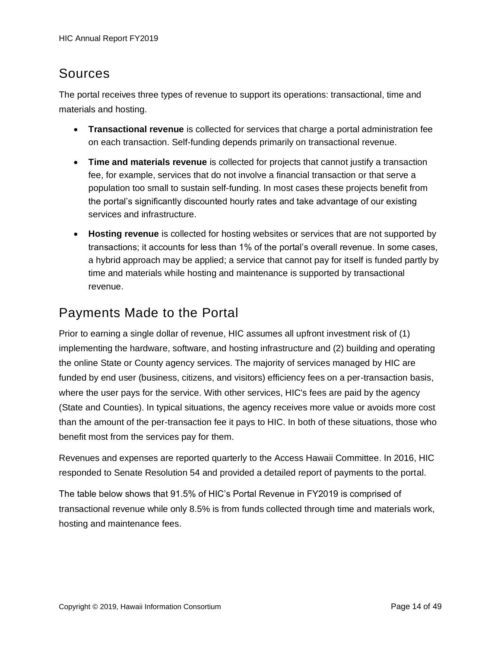### Sources

The portal receives three types of revenue to support its operations: transactional, time and materials and hosting.

- **Transactional revenue** is collected for services that charge a portal administration fee on each transaction. Self-funding depends primarily on transactional revenue.
- **Time and materials revenue** is collected for projects that cannot justify a transaction fee, for example, services that do not involve a financial transaction or that serve a population too small to sustain self-funding. In most cases these projects benefit from the portal's significantly discounted hourly rates and take advantage of our existing services and infrastructure.
- **Hosting revenue** is collected for hosting websites or services that are not supported by transactions; it accounts for less than 1% of the portal's overall revenue. In some cases, a hybrid approach may be applied; a service that cannot pay for itself is funded partly by time and materials while hosting and maintenance is supported by transactional revenue.

### Payments Made to the Portal

Prior to earning a single dollar of revenue, HIC assumes all upfront investment risk of (1) implementing the hardware, software, and hosting infrastructure and (2) building and operating the online State or County agency services. The majority of services managed by HIC are funded by end user (business, citizens, and visitors) efficiency fees on a per-transaction basis, where the user pays for the service. With other services, HIC's fees are paid by the agency (State and Counties). In typical situations, the agency receives more value or avoids more cost than the amount of the per-transaction fee it pays to HIC. In both of these situations, those who benefit most from the services pay for them.

Revenues and expenses are reported quarterly to the Access Hawaii Committee. In 2016, HIC responded to Senate Resolution 54 and provided a detailed report of payments to the portal.

The table below shows that 91.5% of HIC's Portal Revenue in FY2019 is comprised of transactional revenue while only 8.5% is from funds collected through time and materials work, hosting and maintenance fees.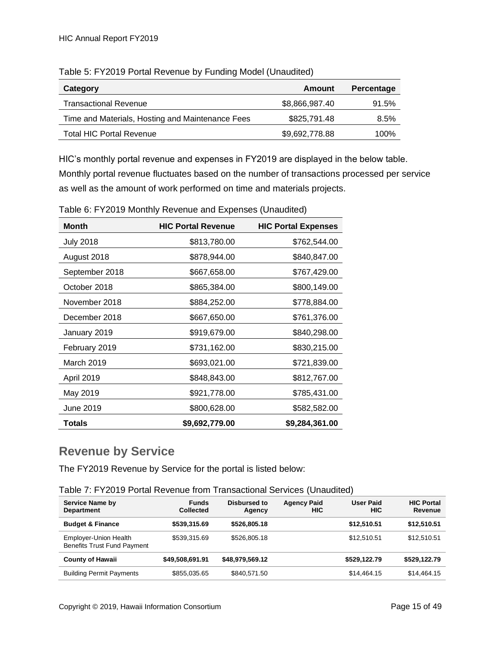| Category                                         | Amount         | Percentage |
|--------------------------------------------------|----------------|------------|
| <b>Transactional Revenue</b>                     | \$8,866,987.40 | 91.5%      |
| Time and Materials, Hosting and Maintenance Fees | \$825,791.48   | 8.5%       |
| <b>Total HIC Portal Revenue</b>                  | \$9,692,778.88 | 100%       |

Table 5: FY2019 Portal Revenue by Funding Model (Unaudited)

HIC's monthly portal revenue and expenses in FY2019 are displayed in the below table. Monthly portal revenue fluctuates based on the number of transactions processed per service as well as the amount of work performed on time and materials projects.

| <b>Month</b>     | <b>HIC Portal Revenue</b> | <b>HIC Portal Expenses</b> |
|------------------|---------------------------|----------------------------|
| <b>July 2018</b> | \$813,780.00              | \$762,544.00               |
| August 2018      | \$878,944.00              | \$840,847.00               |
| September 2018   | \$667,658.00              | \$767,429.00               |
| October 2018     | \$865,384.00              | \$800,149.00               |
| November 2018    | \$884,252.00              | \$778,884.00               |
| December 2018    | \$667,650.00              | \$761,376.00               |
| January 2019     | \$919,679.00              | \$840,298.00               |
| February 2019    | \$731,162.00              | \$830,215.00               |
| March 2019       | \$693,021.00              | \$721,839.00               |
| April 2019       | \$848,843.00              | \$812,767.00               |
| May 2019         | \$921,778.00              | \$785,431.00               |
| June 2019        | \$800,628.00              | \$582,582.00               |
| <b>Totals</b>    | \$9,692,779.00            | \$9,284,361.00             |

Table 6: FY2019 Monthly Revenue and Expenses (Unaudited)

### <span id="page-14-0"></span>**Revenue by Service**

The FY2019 Revenue by Service for the portal is listed below:

Table 7: FY2019 Portal Revenue from Transactional Services (Unaudited)

| <b>Service Name by</b><br><b>Department</b>                        | <b>Funds</b><br><b>Collected</b> | Disbursed to<br>Agency | <b>Agency Paid</b><br>HIC | <b>User Paid</b><br><b>HIC</b> | <b>HIC Portal</b><br>Revenue |
|--------------------------------------------------------------------|----------------------------------|------------------------|---------------------------|--------------------------------|------------------------------|
| <b>Budget &amp; Finance</b>                                        | \$539,315.69                     | \$526,805.18           |                           | \$12,510.51                    | \$12,510.51                  |
| <b>Employer-Union Health</b><br><b>Benefits Trust Fund Payment</b> | \$539,315.69                     | \$526,805.18           |                           | \$12.510.51                    | \$12,510.51                  |
| <b>County of Hawaii</b>                                            | \$49,508,691.91                  | \$48.979.569.12        |                           | \$529.122.79                   | \$529.122.79                 |
| <b>Building Permit Payments</b>                                    | \$855,035.65                     | \$840,571.50           |                           | \$14,464.15                    | \$14,464.15                  |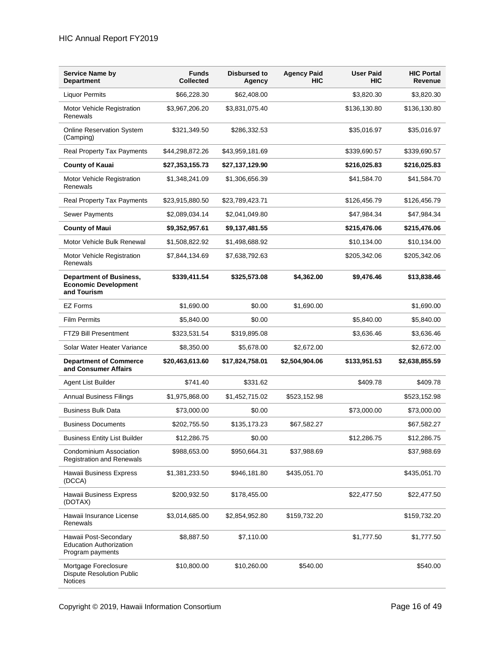| <b>Service Name by</b><br><b>Department</b>                                  | <b>Funds</b><br><b>Collected</b> | <b>Disbursed to</b><br>Agency | <b>Agency Paid</b><br><b>HIC</b> | <b>User Paid</b><br><b>HIC</b> | <b>HIC Portal</b><br>Revenue |
|------------------------------------------------------------------------------|----------------------------------|-------------------------------|----------------------------------|--------------------------------|------------------------------|
| <b>Liquor Permits</b>                                                        | \$66,228.30                      | \$62,408.00                   |                                  | \$3,820.30                     | \$3,820.30                   |
| Motor Vehicle Registration<br>Renewals                                       | \$3,967,206.20                   | \$3,831,075.40                |                                  | \$136,130.80                   | \$136,130.80                 |
| <b>Online Reservation System</b><br>(Camping)                                | \$321,349.50                     | \$286,332.53                  |                                  | \$35,016.97                    | \$35,016.97                  |
| <b>Real Property Tax Payments</b>                                            | \$44,298,872.26                  | \$43,959,181.69               |                                  | \$339,690.57                   | \$339,690.57                 |
| <b>County of Kauai</b>                                                       | \$27,353,155.73                  | \$27,137,129.90               |                                  | \$216,025.83                   | \$216,025.83                 |
| Motor Vehicle Registration<br>Renewals                                       | \$1,348,241.09                   | \$1,306,656.39                |                                  | \$41,584.70                    | \$41,584.70                  |
| <b>Real Property Tax Payments</b>                                            | \$23,915,880.50                  | \$23,789,423.71               |                                  | \$126,456.79                   | \$126,456.79                 |
| <b>Sewer Payments</b>                                                        | \$2,089,034.14                   | \$2,041,049.80                |                                  | \$47,984.34                    | \$47,984.34                  |
| <b>County of Maui</b>                                                        | \$9,352,957.61                   | \$9,137,481.55                |                                  | \$215,476.06                   | \$215,476.06                 |
| Motor Vehicle Bulk Renewal                                                   | \$1,508,822.92                   | \$1,498,688.92                |                                  | \$10,134.00                    | \$10,134.00                  |
| Motor Vehicle Registration<br>Renewals                                       | \$7,844,134.69                   | \$7,638,792.63                |                                  | \$205,342.06                   | \$205,342.06                 |
| <b>Department of Business,</b><br><b>Economic Development</b><br>and Tourism | \$339,411.54                     | \$325,573.08                  | \$4,362.00                       | \$9,476.46                     | \$13,838.46                  |
| <b>EZ Forms</b>                                                              | \$1,690.00                       | \$0.00                        | \$1,690.00                       |                                | \$1,690.00                   |
| <b>Film Permits</b>                                                          | \$5,840.00                       | \$0.00                        |                                  | \$5,840.00                     | \$5,840.00                   |
| FTZ9 Bill Presentment                                                        | \$323,531.54                     | \$319,895.08                  |                                  | \$3,636.46                     | \$3,636.46                   |
| Solar Water Heater Variance                                                  | \$8,350.00                       | \$5,678.00                    | \$2,672.00                       |                                | \$2,672.00                   |
| <b>Department of Commerce</b><br>and Consumer Affairs                        | \$20,463,613.60                  | \$17,824,758.01               | \$2,504,904.06                   | \$133,951.53                   | \$2,638,855.59               |
| Agent List Builder                                                           | \$741.40                         | \$331.62                      |                                  | \$409.78                       | \$409.78                     |
| <b>Annual Business Filings</b>                                               | \$1,975,868.00                   | \$1,452,715.02                | \$523,152.98                     |                                | \$523,152.98                 |
| <b>Business Bulk Data</b>                                                    | \$73,000.00                      | \$0.00                        |                                  | \$73,000.00                    | \$73,000.00                  |
| <b>Business Documents</b>                                                    | \$202,755.50                     | \$135,173.23                  | \$67,582.27                      |                                | \$67,582.27                  |
| <b>Business Entity List Builder</b>                                          | \$12,286.75                      | \$0.00                        |                                  | \$12,286.75                    | \$12,286.75                  |
| Condominium Association<br><b>Registration and Renewals</b>                  | \$988,653.00                     | \$950,664.31                  | \$37,988.69                      |                                | \$37,988.69                  |
| Hawaii Business Express<br>(DCCA)                                            | \$1,381,233.50                   | \$946,181.80                  | \$435,051.70                     |                                | \$435,051.70                 |
| Hawaii Business Express<br>(DOTAX)                                           | \$200,932.50                     | \$178,455.00                  |                                  | \$22,477.50                    | \$22,477.50                  |
| Hawaii Insurance License<br>Renewals                                         | \$3,014,685.00                   | \$2,854,952.80                | \$159,732.20                     |                                | \$159,732.20                 |
| Hawaii Post-Secondary<br><b>Education Authorization</b><br>Program payments  | \$8,887.50                       | \$7,110.00                    |                                  | \$1,777.50                     | \$1,777.50                   |
| Mortgage Foreclosure<br><b>Dispute Resolution Public</b><br><b>Notices</b>   | \$10,800.00                      | \$10,260.00                   | \$540.00                         |                                | \$540.00                     |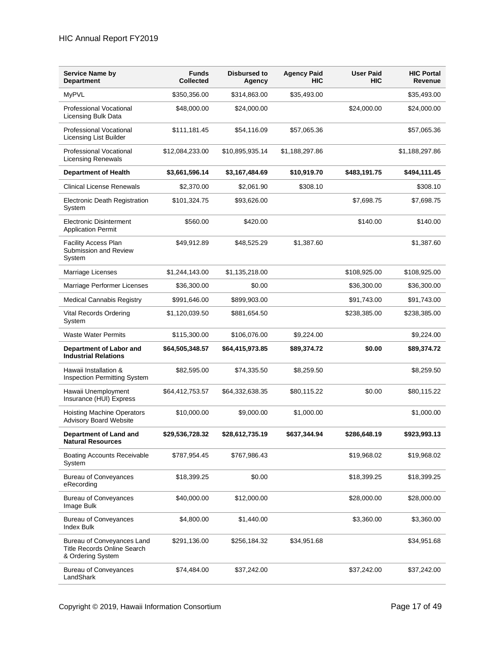| <b>Service Name by</b><br><b>Department</b>                                           | <b>Funds</b><br><b>Collected</b> | <b>Disbursed to</b><br>Agency | <b>Agency Paid</b><br>HIC | <b>User Paid</b><br><b>HIC</b> | <b>HIC Portal</b><br>Revenue |
|---------------------------------------------------------------------------------------|----------------------------------|-------------------------------|---------------------------|--------------------------------|------------------------------|
| <b>MyPVL</b>                                                                          | \$350,356.00                     | \$314,863.00                  | \$35,493.00               |                                | \$35,493.00                  |
| <b>Professional Vocational</b><br>Licensing Bulk Data                                 | \$48,000.00                      | \$24,000.00                   |                           | \$24,000.00                    | \$24,000.00                  |
| Professional Vocational<br><b>Licensing List Builder</b>                              | \$111,181.45                     | \$54,116.09                   | \$57,065.36               |                                | \$57,065.36                  |
| <b>Professional Vocational</b><br><b>Licensing Renewals</b>                           | \$12,084,233.00                  | \$10,895,935.14               | \$1,188,297.86            |                                | \$1,188,297.86               |
| <b>Department of Health</b>                                                           | \$3,661,596.14                   | \$3,167,484.69                | \$10,919.70               | \$483,191.75                   | \$494,111.45                 |
| <b>Clinical License Renewals</b>                                                      | \$2,370.00                       | \$2,061.90                    | \$308.10                  |                                | \$308.10                     |
| <b>Electronic Death Registration</b><br>System                                        | \$101,324.75                     | \$93,626.00                   |                           | \$7,698.75                     | \$7,698.75                   |
| Electronic Disinterment<br><b>Application Permit</b>                                  | \$560.00                         | \$420.00                      |                           | \$140.00                       | \$140.00                     |
| <b>Facility Access Plan</b><br>Submission and Review<br>System                        | \$49,912.89                      | \$48,525.29                   | \$1.387.60                |                                | \$1,387.60                   |
| Marriage Licenses                                                                     | \$1,244,143.00                   | \$1,135,218.00                |                           | \$108,925.00                   | \$108,925.00                 |
| Marriage Performer Licenses                                                           | \$36,300.00                      | \$0.00                        |                           | \$36,300.00                    | \$36,300.00                  |
| <b>Medical Cannabis Registry</b>                                                      | \$991,646.00                     | \$899,903.00                  |                           | \$91,743.00                    | \$91,743.00                  |
| Vital Records Ordering<br>System                                                      | \$1,120,039.50                   | \$881,654.50                  |                           | \$238,385.00                   | \$238,385.00                 |
| <b>Waste Water Permits</b>                                                            | \$115,300.00                     | \$106,076.00                  | \$9,224.00                |                                | \$9,224.00                   |
| Department of Labor and<br><b>Industrial Relations</b>                                | \$64,505,348.57                  | \$64,415,973.85               | \$89,374.72               | \$0.00                         | \$89,374.72                  |
| Hawaii Installation &<br>Inspection Permitting System                                 | \$82,595.00                      | \$74,335.50                   | \$8,259.50                |                                | \$8,259.50                   |
| Hawaii Unemployment<br>Insurance (HUI) Express                                        | \$64,412,753.57                  | \$64,332,638.35               | \$80,115.22               | \$0.00                         | \$80,115.22                  |
| <b>Hoisting Machine Operators</b><br><b>Advisory Board Website</b>                    | \$10,000.00                      | \$9,000.00                    | \$1,000.00                |                                | \$1,000.00                   |
| Department of Land and<br><b>Natural Resources</b>                                    | \$29,536,728.32                  | \$28,612,735.19               | \$637,344.94              | \$286,648.19                   | \$923,993.13                 |
| <b>Boating Accounts Receivable</b><br>System                                          | \$787,954.45                     | \$767,986.43                  |                           | \$19,968.02                    | \$19,968.02                  |
| <b>Bureau of Conveyances</b><br>eRecording                                            | \$18,399.25                      | \$0.00                        |                           | \$18,399.25                    | \$18,399.25                  |
| <b>Bureau of Conveyances</b><br>Image Bulk                                            | \$40,000.00                      | \$12,000.00                   |                           | \$28,000.00                    | \$28,000.00                  |
| <b>Bureau of Conveyances</b><br><b>Index Bulk</b>                                     | \$4,800.00                       | \$1,440.00                    |                           | \$3,360.00                     | \$3,360.00                   |
| Bureau of Conveyances Land<br><b>Title Records Online Search</b><br>& Ordering System | \$291,136.00                     | \$256,184.32                  | \$34,951.68               |                                | \$34,951.68                  |
| <b>Bureau of Conveyances</b><br>LandShark                                             | \$74,484.00                      | \$37,242.00                   |                           | \$37,242.00                    | \$37,242.00                  |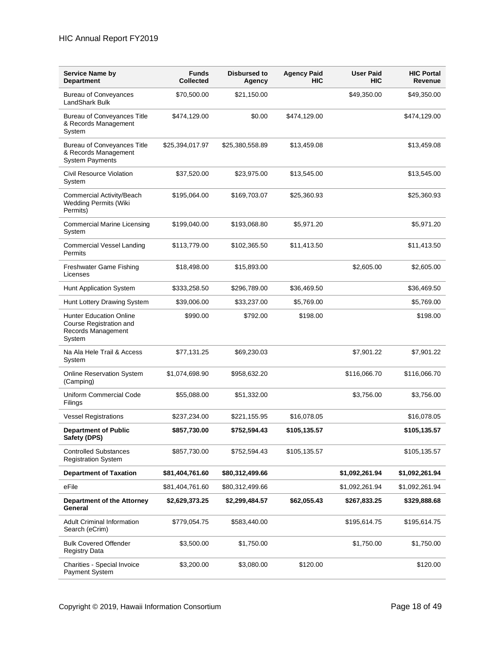#### HIC Annual Report FY2019

| <b>Service Name by</b><br><b>Department</b>                                               | <b>Funds</b><br><b>Collected</b> | Disbursed to<br>Agency | <b>Agency Paid</b><br>HIC | <b>User Paid</b><br><b>HIC</b> | <b>HIC Portal</b><br>Revenue |
|-------------------------------------------------------------------------------------------|----------------------------------|------------------------|---------------------------|--------------------------------|------------------------------|
| <b>Bureau of Conveyances</b><br>LandShark Bulk                                            | \$70,500.00                      | \$21,150.00            |                           | \$49,350.00                    | \$49,350.00                  |
| <b>Bureau of Conveyances Title</b><br>& Records Management<br>System                      | \$474,129.00                     | \$0.00                 | \$474,129.00              |                                | \$474,129.00                 |
| <b>Bureau of Conveyances Title</b><br>& Records Management<br><b>System Payments</b>      | \$25,394,017.97                  | \$25,380,558.89        | \$13,459.08               |                                | \$13,459.08                  |
| Civil Resource Violation<br>System                                                        | \$37,520.00                      | \$23,975.00            | \$13,545.00               |                                | \$13,545.00                  |
| Commercial Activity/Beach<br><b>Wedding Permits (Wiki</b><br>Permits)                     | \$195,064.00                     | \$169,703.07           | \$25,360.93               |                                | \$25,360.93                  |
| <b>Commercial Marine Licensing</b><br>System                                              | \$199,040.00                     | \$193,068.80           | \$5,971.20                |                                | \$5,971.20                   |
| <b>Commercial Vessel Landing</b><br>Permits                                               | \$113,779.00                     | \$102,365.50           | \$11,413.50               |                                | \$11,413.50                  |
| Freshwater Game Fishing<br>Licenses                                                       | \$18,498.00                      | \$15,893.00            |                           | \$2,605.00                     | \$2,605.00                   |
| Hunt Application System                                                                   | \$333,258.50                     | \$296,789.00           | \$36,469.50               |                                | \$36,469.50                  |
| Hunt Lottery Drawing System                                                               | \$39,006.00                      | \$33,237.00            | \$5,769.00                |                                | \$5,769.00                   |
| <b>Hunter Education Online</b><br>Course Registration and<br>Records Management<br>System | \$990.00                         | \$792.00               | \$198.00                  |                                | \$198.00                     |
| Na Ala Hele Trail & Access<br>System                                                      | \$77,131.25                      | \$69,230.03            |                           | \$7,901.22                     | \$7,901.22                   |
| <b>Online Reservation System</b><br>(Camping)                                             | \$1,074,698.90                   | \$958,632.20           |                           | \$116,066.70                   | \$116,066.70                 |
| <b>Uniform Commercial Code</b><br>Filings                                                 | \$55,088.00                      | \$51,332.00            |                           | \$3,756.00                     | \$3,756.00                   |
| <b>Vessel Registrations</b>                                                               | \$237,234.00                     | \$221,155.95           | \$16,078.05               |                                | \$16,078.05                  |
| <b>Department of Public</b><br>Safety (DPS)                                               | \$857,730.00                     | \$752,594.43           | \$105,135.57              |                                | \$105,135.57                 |
| <b>Controlled Substances</b><br><b>Registration System</b>                                | \$857,730.00                     | \$752,594.43           | \$105,135.57              |                                | \$105,135.57                 |
| <b>Department of Taxation</b>                                                             | \$81,404,761.60                  | \$80,312,499.66        |                           | \$1,092,261.94                 | \$1,092,261.94               |
| eFile                                                                                     | \$81,404,761.60                  | \$80,312,499.66        |                           | \$1,092,261.94                 | \$1,092,261.94               |
| Department of the Attorney<br>General                                                     | \$2,629,373.25                   | \$2,299,484.57         | \$62,055.43               | \$267,833.25                   | \$329,888.68                 |
| <b>Adult Criminal Information</b><br>Search (eCrim)                                       | \$779,054.75                     | \$583,440.00           |                           | \$195,614.75                   | \$195,614.75                 |
| <b>Bulk Covered Offender</b><br><b>Registry Data</b>                                      | \$3,500.00                       | \$1,750.00             |                           | \$1,750.00                     | \$1,750.00                   |
| Charities - Special Invoice<br>Payment System                                             | \$3,200.00                       | \$3,080.00             | \$120.00                  |                                | \$120.00                     |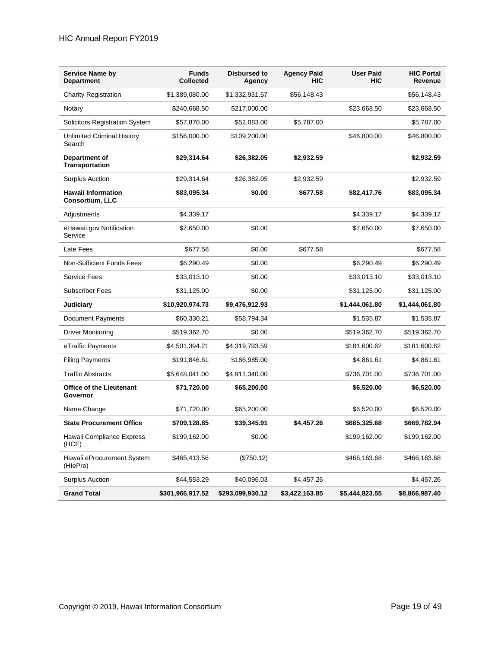| <b>Service Name by</b><br><b>Department</b>  | <b>Funds</b><br><b>Collected</b> | Disbursed to<br>Agency | <b>Agency Paid</b><br>HIC | <b>User Paid</b><br><b>HIC</b> | <b>HIC Portal</b><br>Revenue |
|----------------------------------------------|----------------------------------|------------------------|---------------------------|--------------------------------|------------------------------|
| <b>Charity Registration</b>                  | \$1,389,080.00                   | \$1,332,931.57         | \$56,148.43               |                                | \$56,148.43                  |
| Notary                                       | \$240,668.50                     | \$217,000.00           |                           | \$23,668.50                    | \$23,668.50                  |
| <b>Solicitors Registration System</b>        | \$57,870.00                      | \$52,083.00            | \$5,787.00                |                                | \$5,787.00                   |
| <b>Unlimited Criminal History</b><br>Search  | \$156,000.00                     | \$109,200.00           |                           | \$46,800.00                    | \$46,800.00                  |
| Department of<br><b>Transportation</b>       | \$29,314.64                      | \$26,382.05            | \$2,932.59                |                                | \$2,932.59                   |
| <b>Surplus Auction</b>                       | \$29,314.64                      | \$26,382.05            | \$2,932.59                |                                | \$2,932.59                   |
| <b>Hawaii Information</b><br>Consortium, LLC | \$83,095.34                      | \$0.00                 | \$677.58                  | \$82,417.76                    | \$83,095.34                  |
| Adjustments                                  | \$4,339.17                       |                        |                           | \$4,339.17                     | \$4,339.17                   |
| eHawaii.gov Notification<br>Service          | \$7,650.00                       | \$0.00                 |                           | \$7,650.00                     | \$7,650.00                   |
| Late Fees                                    | \$677.58                         | \$0.00                 | \$677.58                  |                                | \$677.58                     |
| <b>Non-Sufficient Funds Fees</b>             | \$6,290.49                       | \$0.00                 |                           | \$6,290.49                     | \$6,290.49                   |
| <b>Service Fees</b>                          | \$33,013.10                      | \$0.00                 |                           | \$33,013.10                    | \$33,013.10                  |
| <b>Subscriber Fees</b>                       | \$31,125.00                      | \$0.00                 |                           | \$31,125.00                    | \$31,125.00                  |
| <b>Judiciary</b>                             | \$10,920,974.73                  | \$9,476,912.93         |                           | \$1,444,061.80                 | \$1,444,061.80               |
| <b>Document Payments</b>                     | \$60,330.21                      | \$58,794.34            |                           | \$1,535.87                     | \$1,535.87                   |
| <b>Driver Monitoring</b>                     | \$519,362.70                     | \$0.00                 |                           | \$519,362.70                   | \$519,362.70                 |
| eTraffic Payments                            | \$4,501,394.21                   | \$4,319,793.59         |                           | \$181,600.62                   | \$181,600.62                 |
| <b>Filing Payments</b>                       | \$191,846.61                     | \$186,985.00           |                           | \$4,861.61                     | \$4,861.61                   |
| <b>Traffic Abstracts</b>                     | \$5,648,041.00                   | \$4,911,340.00         |                           | \$736,701.00                   | \$736,701.00                 |
| <b>Office of the Lieutenant</b><br>Governor  | \$71,720.00                      | \$65,200.00            |                           | \$6,520.00                     | \$6,520.00                   |
| Name Change                                  | \$71,720.00                      | \$65,200.00            |                           | \$6,520.00                     | \$6,520.00                   |
| <b>State Procurement Office</b>              | \$709,128.85                     | \$39,345.91            | \$4,457.26                | \$665,325.68                   | \$669,782.94                 |
| Hawaii Compliance Express<br>(HCE)           | \$199,162.00                     | \$0.00                 |                           | \$199,162.00                   | \$199,162.00                 |
| Hawaii eProcurement System<br>(HlePro)       | \$465,413.56                     | (\$750.12)             |                           | \$466,163.68                   | \$466,163.68                 |
| <b>Surplus Auction</b>                       | \$44,553.29                      | \$40,096.03            | \$4,457.26                |                                | \$4,457.26                   |
| <b>Grand Total</b>                           | \$301,966,917.52                 | \$293,099,930.12       | \$3,422,163.85            | \$5,444,823.55                 | \$8,866,987.40               |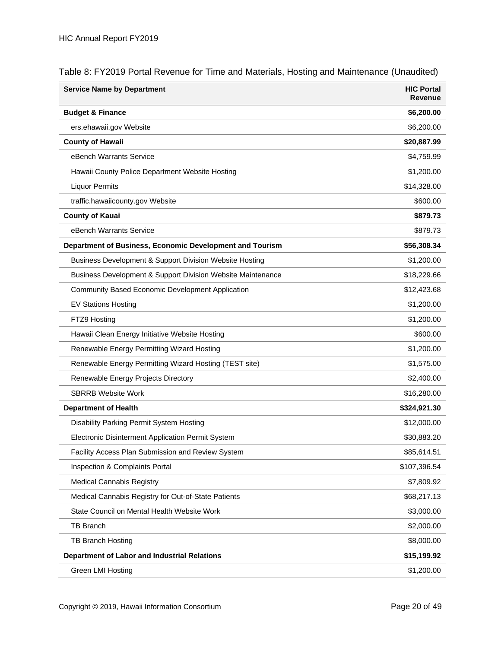| <b>Service Name by Department</b>                           | <b>HIC Portal</b><br>Revenue |
|-------------------------------------------------------------|------------------------------|
| <b>Budget &amp; Finance</b>                                 | \$6,200.00                   |
| ers.ehawaii.gov Website                                     | \$6,200.00                   |
| <b>County of Hawaii</b>                                     | \$20,887.99                  |
| eBench Warrants Service                                     | \$4,759.99                   |
| Hawaii County Police Department Website Hosting             | \$1,200.00                   |
| <b>Liquor Permits</b>                                       | \$14,328.00                  |
| traffic.hawaiicounty.gov Website                            | \$600.00                     |
| <b>County of Kauai</b>                                      | \$879.73                     |
| eBench Warrants Service                                     | \$879.73                     |
| Department of Business, Economic Development and Tourism    | \$56,308.34                  |
| Business Development & Support Division Website Hosting     | \$1,200.00                   |
| Business Development & Support Division Website Maintenance | \$18,229.66                  |
| Community Based Economic Development Application            | \$12,423.68                  |
| <b>EV Stations Hosting</b>                                  | \$1,200.00                   |
| FTZ9 Hosting                                                | \$1,200.00                   |
| Hawaii Clean Energy Initiative Website Hosting              | \$600.00                     |
| Renewable Energy Permitting Wizard Hosting                  | \$1,200.00                   |
| Renewable Energy Permitting Wizard Hosting (TEST site)      | \$1,575.00                   |
| Renewable Energy Projects Directory                         | \$2,400.00                   |
| <b>SBRRB Website Work</b>                                   | \$16,280.00                  |
| <b>Department of Health</b>                                 | \$324,921.30                 |
| Disability Parking Permit System Hosting                    | \$12,000.00                  |
| Electronic Disinterment Application Permit System           | \$30,883.20                  |
| <b>Facility Access Plan Submission and Review System</b>    | \$85,614.51                  |
| Inspection & Complaints Portal                              | \$107,396.54                 |
| <b>Medical Cannabis Registry</b>                            | \$7,809.92                   |
| Medical Cannabis Registry for Out-of-State Patients         | \$68,217.13                  |
| State Council on Mental Health Website Work                 | \$3,000.00                   |
| <b>TB Branch</b>                                            | \$2,000.00                   |
| TB Branch Hosting                                           | \$8,000.00                   |
| <b>Department of Labor and Industrial Relations</b>         | \$15,199.92                  |
| Green LMI Hosting                                           | \$1,200.00                   |

#### Table 8: FY2019 Portal Revenue for Time and Materials, Hosting and Maintenance (Unaudited)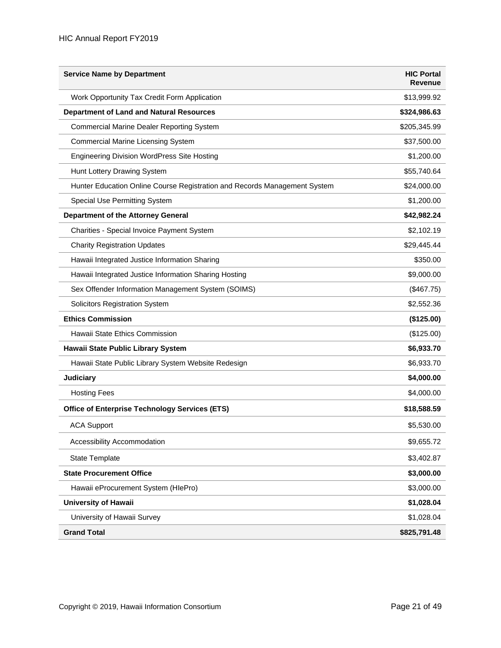| <b>Service Name by Department</b>                                         | <b>HIC Portal</b><br><b>Revenue</b> |
|---------------------------------------------------------------------------|-------------------------------------|
| Work Opportunity Tax Credit Form Application                              | \$13,999.92                         |
| <b>Department of Land and Natural Resources</b>                           | \$324,986.63                        |
| Commercial Marine Dealer Reporting System                                 | \$205,345.99                        |
| <b>Commercial Marine Licensing System</b>                                 | \$37,500.00                         |
| <b>Engineering Division WordPress Site Hosting</b>                        | \$1,200.00                          |
| Hunt Lottery Drawing System                                               | \$55,740.64                         |
| Hunter Education Online Course Registration and Records Management System | \$24,000.00                         |
| Special Use Permitting System                                             | \$1,200.00                          |
| Department of the Attorney General                                        | \$42,982.24                         |
| Charities - Special Invoice Payment System                                | \$2,102.19                          |
| <b>Charity Registration Updates</b>                                       | \$29,445.44                         |
| Hawaii Integrated Justice Information Sharing                             | \$350.00                            |
| Hawaii Integrated Justice Information Sharing Hosting                     | \$9,000.00                          |
| Sex Offender Information Management System (SOIMS)                        | (\$467.75)                          |
| <b>Solicitors Registration System</b>                                     | \$2,552.36                          |
| <b>Ethics Commission</b>                                                  | (\$125.00)                          |
| Hawaii State Ethics Commission                                            | (\$125.00)                          |
| Hawaii State Public Library System                                        | \$6,933.70                          |
| Hawaii State Public Library System Website Redesign                       | \$6,933.70                          |
| <b>Judiciary</b>                                                          | \$4,000.00                          |
| <b>Hosting Fees</b>                                                       | \$4,000.00                          |
| <b>Office of Enterprise Technology Services (ETS)</b>                     | \$18,588.59                         |
| <b>ACA Support</b>                                                        | \$5,530.00                          |
| Accessibility Accommodation                                               | \$9,655.72                          |
| <b>State Template</b>                                                     | \$3,402.87                          |
| <b>State Procurement Office</b>                                           | \$3,000.00                          |
| Hawaii eProcurement System (HlePro)                                       | \$3,000.00                          |
| <b>University of Hawaii</b>                                               | \$1,028.04                          |
| University of Hawaii Survey                                               | \$1,028.04                          |
| <b>Grand Total</b>                                                        | \$825,791.48                        |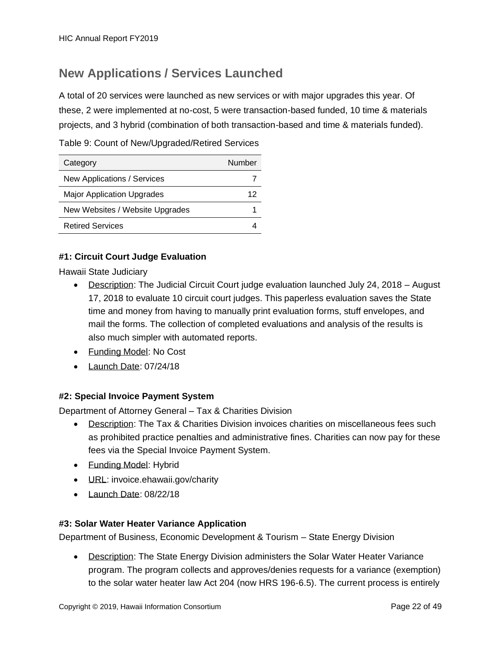### <span id="page-21-0"></span>**New Applications / Services Launched**

A total of 20 services were launched as new services or with major upgrades this year. Of these, 2 were implemented at no-cost, 5 were transaction-based funded, 10 time & materials projects, and 3 hybrid (combination of both transaction-based and time & materials funded).

Table 9: Count of New/Upgraded/Retired Services

| Category                          | Number |
|-----------------------------------|--------|
| New Applications / Services       |        |
| <b>Major Application Upgrades</b> | 12     |
| New Websites / Website Upgrades   |        |
| <b>Retired Services</b>           |        |

#### **#1: Circuit Court Judge Evaluation**

Hawaii State Judiciary

- Description: The Judicial Circuit Court judge evaluation launched July 24, 2018 August 17, 2018 to evaluate 10 circuit court judges. This paperless evaluation saves the State time and money from having to manually print evaluation forms, stuff envelopes, and mail the forms. The collection of completed evaluations and analysis of the results is also much simpler with automated reports.
- Funding Model: No Cost
- Launch Date: 07/24/18

#### **#2: Special Invoice Payment System**

Department of Attorney General – Tax & Charities Division

- Description: The Tax & Charities Division invoices charities on miscellaneous fees such as prohibited practice penalties and administrative fines. Charities can now pay for these fees via the Special Invoice Payment System.
- Funding Model: Hybrid
- **URL:** invoice.ehawaii.gov/charity
- Launch Date: 08/22/18

#### **#3: Solar Water Heater Variance Application**

Department of Business, Economic Development & Tourism – State Energy Division

• Description: The State Energy Division administers the Solar Water Heater Variance program. The program collects and approves/denies requests for a variance (exemption) to the solar water heater law Act 204 (now HRS 196-6.5). The current process is entirely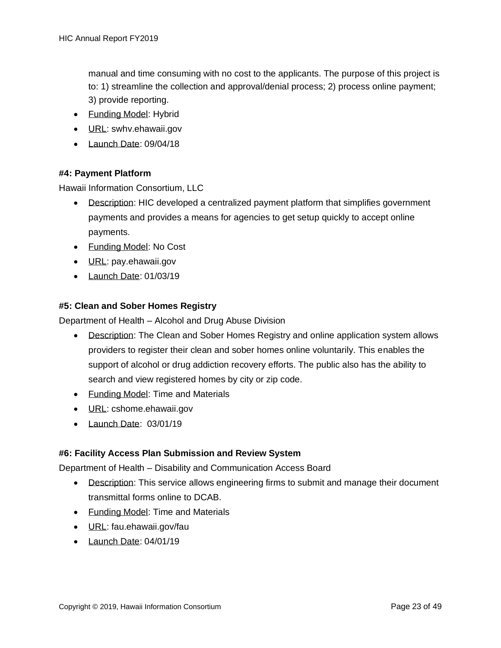manual and time consuming with no cost to the applicants. The purpose of this project is to: 1) streamline the collection and approval/denial process; 2) process online payment; 3) provide reporting.

- Funding Model: Hybrid
- **URL:** swhv.ehawaii.gov
- Launch Date: 09/04/18

#### **#4: Payment Platform**

Hawaii Information Consortium, LLC

- Description: HIC developed a centralized payment platform that simplifies government payments and provides a means for agencies to get setup quickly to accept online payments.
- Funding Model: No Cost
- URL: pay.ehawaii.gov
- Launch Date: 01/03/19

#### **#5: Clean and Sober Homes Registry**

Department of Health – Alcohol and Drug Abuse Division

- Description: The Clean and Sober Homes Registry and online application system allows providers to register their clean and sober homes online voluntarily. This enables the support of alcohol or drug addiction recovery efforts. The public also has the ability to search and view registered homes by city or zip code.
- Funding Model: Time and Materials
- **URL: cshome.ehawaii.gov**
- Launch Date: 03/01/19

#### **#6: Facility Access Plan Submission and Review System**

Department of Health – Disability and Communication Access Board

- Description: This service allows engineering firms to submit and manage their document transmittal forms online to DCAB.
- Funding Model: Time and Materials
- URL: fau.ehawaii.gov/fau
- Launch Date: 04/01/19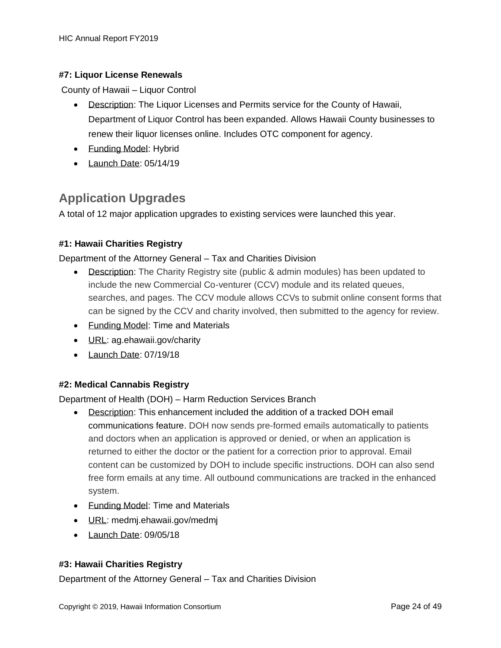#### **#7: Liquor License Renewals**

County of Hawaii – Liquor Control

- Description: The Liquor Licenses and Permits service for the County of Hawaii, Department of Liquor Control has been expanded. Allows Hawaii County businesses to renew their liquor licenses online. Includes OTC component for agency.
- Funding Model: Hybrid
- Launch Date: 05/14/19

### <span id="page-23-0"></span>**Application Upgrades**

A total of 12 major application upgrades to existing services were launched this year.

#### **#1: Hawaii Charities Registry**

#### Department of the Attorney General – Tax and Charities Division

- Description: The Charity Registry site (public & admin modules) has been updated to include the new Commercial Co-venturer (CCV) module and its related queues, searches, and pages. The CCV module allows CCVs to submit online consent forms that can be signed by the CCV and charity involved, then submitted to the agency for review.
- Funding Model: Time and Materials
- URL: ag.ehawaii.gov/charity
- Launch Date: 07/19/18

#### **#2: Medical Cannabis Registry**

Department of Health (DOH) – Harm Reduction Services Branch

- Description: This enhancement included the addition of a tracked DOH email communications feature. DOH now sends pre-formed emails automatically to patients and doctors when an application is approved or denied, or when an application is returned to either the doctor or the patient for a correction prior to approval. Email content can be customized by DOH to include specific instructions. DOH can also send free form emails at any time. All outbound communications are tracked in the enhanced system.
- Funding Model: Time and Materials
- URL: medmj.ehawaii.gov/medmj
- Launch Date: 09/05/18

#### **#3: Hawaii Charities Registry**

Department of the Attorney General – Tax and Charities Division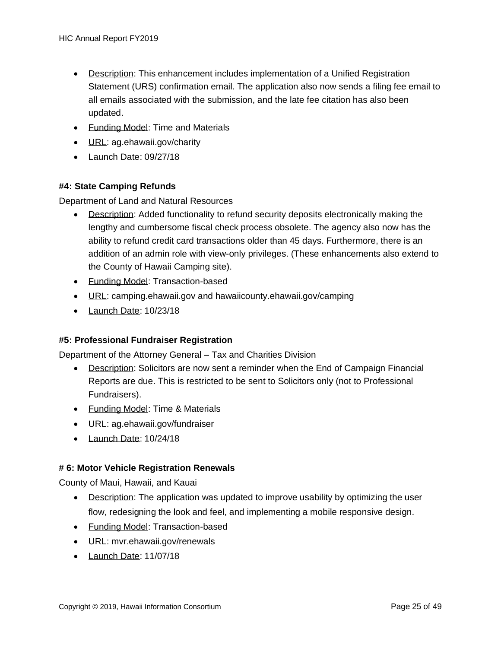- Description: This enhancement includes implementation of a Unified Registration Statement (URS) confirmation email. The application also now sends a filing fee email to all emails associated with the submission, and the late fee citation has also been updated.
- Funding Model: Time and Materials
- URL: ag.ehawaii.gov/charity
- Launch Date: 09/27/18

#### **#4: State Camping Refunds**

Department of Land and Natural Resources

- Description: Added functionality to refund security deposits electronically making the lengthy and cumbersome fiscal check process obsolete. The agency also now has the ability to refund credit card transactions older than 45 days. Furthermore, there is an addition of an admin role with view-only privileges. (These enhancements also extend to the County of Hawaii Camping site).
- Funding Model: Transaction-based
- URL: camping.ehawaii.gov and hawaiicounty.ehawaii.gov/camping
- Launch Date: 10/23/18

#### **#5: Professional Fundraiser Registration**

Department of the Attorney General – Tax and Charities Division

- Description: Solicitors are now sent a reminder when the End of Campaign Financial Reports are due. This is restricted to be sent to Solicitors only (not to Professional Fundraisers).
- Funding Model: Time & Materials
- URL: ag.ehawaii.gov/fundraiser
- Launch Date: 10/24/18

#### **# 6: Motor Vehicle Registration Renewals**

County of Maui, Hawaii, and Kauai

- Description: The application was updated to improve usability by optimizing the user flow, redesigning the look and feel, and implementing a mobile responsive design.
- Funding Model: Transaction-based
- URL: mvr.ehawaii.gov/renewals
- Launch Date: 11/07/18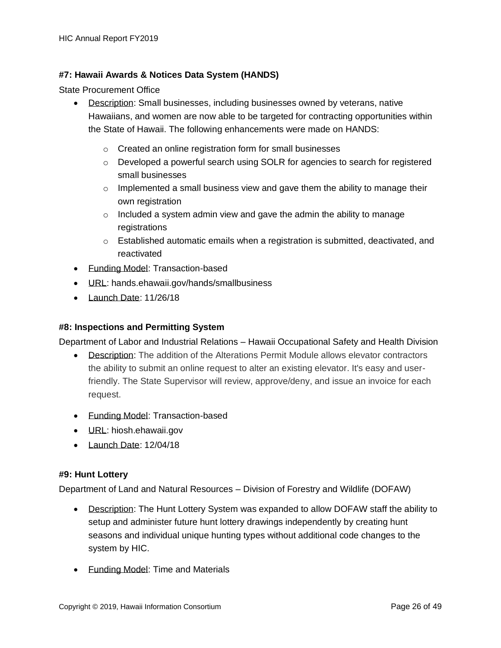#### **#7: Hawaii Awards & Notices Data System (HANDS)**

State Procurement Office

- Description: Small businesses, including businesses owned by veterans, native Hawaiians, and women are now able to be targeted for contracting opportunities within the State of Hawaii. The following enhancements were made on HANDS:
	- o Created an online registration form for small businesses
	- o Developed a powerful search using SOLR for agencies to search for registered small businesses
	- $\circ$  Implemented a small business view and gave them the ability to manage their own registration
	- $\circ$  Included a system admin view and gave the admin the ability to manage registrations
	- $\circ$  Established automatic emails when a registration is submitted, deactivated, and reactivated
- Funding Model: Transaction-based
- URL: hands.ehawaii.gov/hands/smallbusiness
- Launch Date: 11/26/18

#### **#8: Inspections and Permitting System**

Department of Labor and Industrial Relations – Hawaii Occupational Safety and Health Division

- Description: The addition of the Alterations Permit Module allows elevator contractors the ability to submit an online request to alter an existing elevator. It's easy and userfriendly. The State Supervisor will review, approve/deny, and issue an invoice for each request.
- Funding Model: Transaction-based
- URL: hiosh.ehawaii.gov
- Launch Date: 12/04/18

#### **#9: Hunt Lottery**

Department of Land and Natural Resources – Division of Forestry and Wildlife (DOFAW)

- Description: The Hunt Lottery System was expanded to allow DOFAW staff the ability to setup and administer future hunt lottery drawings independently by creating hunt seasons and individual unique hunting types without additional code changes to the system by HIC.
- Funding Model: Time and Materials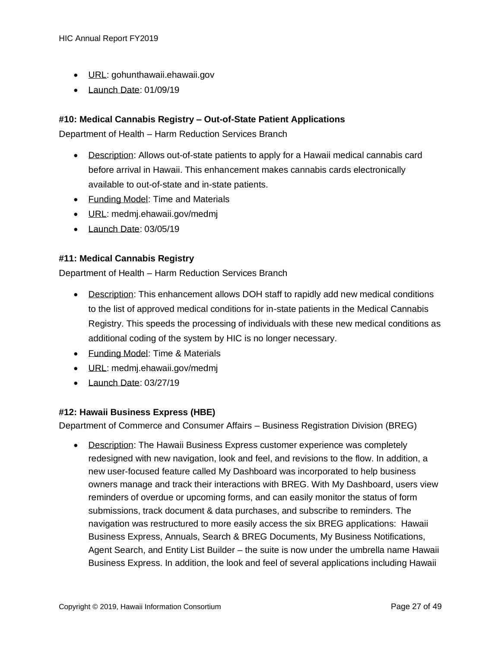- URL: gohunthawaii.ehawaii.gov
- Launch Date: 01/09/19

#### **#10: Medical Cannabis Registry – Out-of-State Patient Applications**

Department of Health – Harm Reduction Services Branch

- Description: Allows out-of-state patients to apply for a Hawaii medical cannabis card before arrival in Hawaii. This enhancement makes cannabis cards electronically available to out-of-state and in-state patients.
- Funding Model: Time and Materials
- URL: medmj.ehawaii.gov/medmj
- Launch Date: 03/05/19

#### **#11: Medical Cannabis Registry**

Department of Health – Harm Reduction Services Branch

- Description: This enhancement allows DOH staff to rapidly add new medical conditions to the list of approved medical conditions for in-state patients in the Medical Cannabis Registry. This speeds the processing of individuals with these new medical conditions as additional coding of the system by HIC is no longer necessary.
- Funding Model: Time & Materials
- URL: medmj.ehawaii.gov/medmj
- Launch Date: 03/27/19

#### **#12: Hawaii Business Express (HBE)**

Department of Commerce and Consumer Affairs – Business Registration Division (BREG)

• Description: The Hawaii Business Express customer experience was completely redesigned with new navigation, look and feel, and revisions to the flow. In addition, a new user-focused feature called My Dashboard was incorporated to help business owners manage and track their interactions with BREG. With My Dashboard, users view reminders of overdue or upcoming forms, and can easily monitor the status of form submissions, track document & data purchases, and subscribe to reminders. The navigation was restructured to more easily access the six BREG applications: Hawaii Business Express, Annuals, Search & BREG Documents, My Business Notifications, Agent Search, and Entity List Builder – the suite is now under the umbrella name Hawaii Business Express. In addition, the look and feel of several applications including Hawaii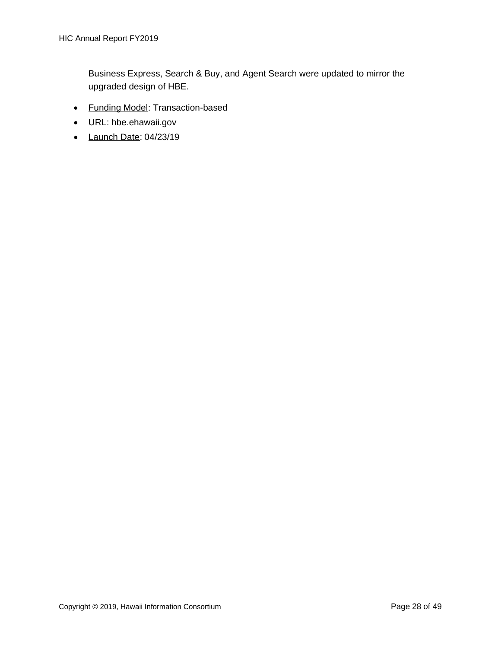Business Express, Search & Buy, and Agent Search were updated to mirror the upgraded design of HBE.

- Funding Model: Transaction-based
- URL: hbe.ehawaii.gov
- Launch Date: 04/23/19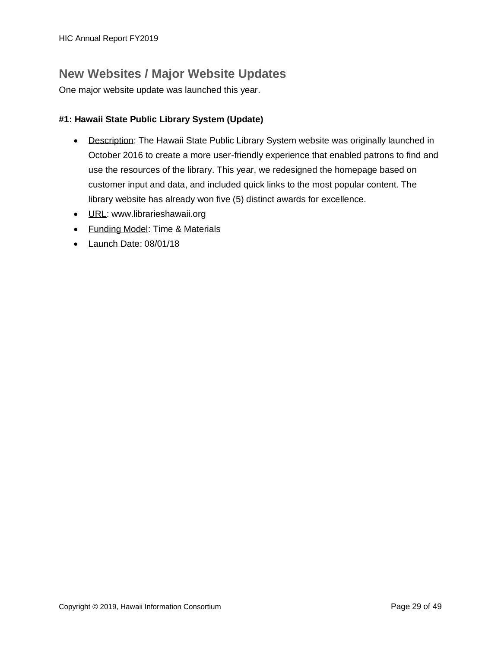### <span id="page-28-0"></span>**New Websites / Major Website Updates**

One major website update was launched this year.

#### **#1: Hawaii State Public Library System (Update)**

- Description: The Hawaii State Public Library System website was originally launched in October 2016 to create a more user-friendly experience that enabled patrons to find and use the resources of the library. This year, we redesigned the homepage based on customer input and data, and included quick links to the most popular content. The library website has already won five (5) distinct awards for excellence.
- URL: www.librarieshawaii.org
- Funding Model: Time & Materials
- Launch Date: 08/01/18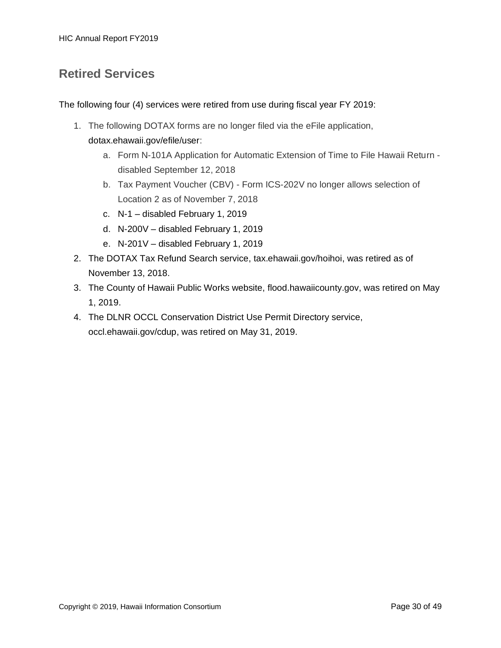### <span id="page-29-0"></span>**Retired Services**

The following four (4) services were retired from use during fiscal year FY 2019:

- 1. The following DOTAX forms are no longer filed via the eFile application, dotax.ehawaii.gov/efile/user:
	- a. Form N-101A Application for Automatic Extension of Time to File Hawaii Return disabled September 12, 2018
	- b. Tax Payment Voucher (CBV) Form ICS-202V no longer allows selection of Location 2 as of November 7, 2018
	- c. N-1 disabled February 1, 2019
	- d. N-200V disabled February 1, 2019
	- e. N-201V disabled February 1, 2019
- 2. The DOTAX Tax Refund Search service, [tax.ehawaii.gov/hoihoi,](https://tax.ehawaii.gov/hoihoi) was retired as of November 13, 2018.
- 3. The County of Hawaii Public Works website, [flood.hawaiicounty.gov,](http://flood.hawaiicounty.gov/) was retired on May 1, 2019.
- 4. The DLNR OCCL Conservation District Use Permit Directory service, [occl.ehawaii.gov/cdup,](https://occl.ehawaii.gov/cdup) was retired on May 31, 2019.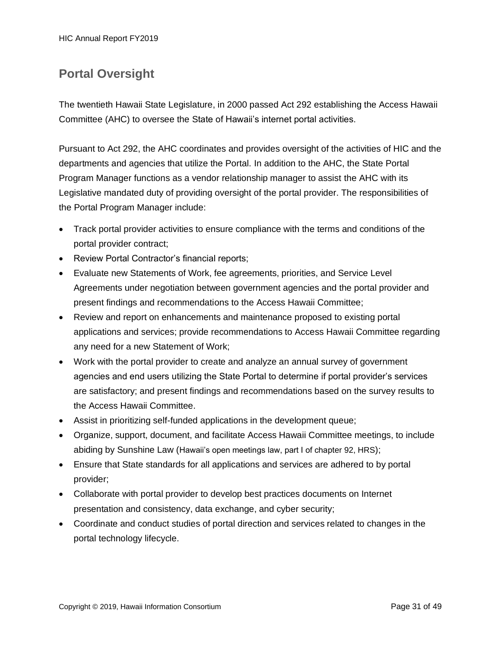### <span id="page-30-0"></span>**Portal Oversight**

The twentieth Hawaii State Legislature, in 2000 passed Act 292 establishing the Access Hawaii Committee (AHC) to oversee the State of Hawaii's internet portal activities.

Pursuant to Act 292, the AHC coordinates and provides oversight of the activities of HIC and the departments and agencies that utilize the Portal. In addition to the AHC, the State Portal Program Manager functions as a vendor relationship manager to assist the AHC with its Legislative mandated duty of providing oversight of the portal provider. The responsibilities of the Portal Program Manager include:

- Track portal provider activities to ensure compliance with the terms and conditions of the portal provider contract;
- Review Portal Contractor's financial reports;
- Evaluate new Statements of Work, fee agreements, priorities, and Service Level Agreements under negotiation between government agencies and the portal provider and present findings and recommendations to the Access Hawaii Committee;
- Review and report on enhancements and maintenance proposed to existing portal applications and services; provide recommendations to Access Hawaii Committee regarding any need for a new Statement of Work;
- Work with the portal provider to create and analyze an annual survey of government agencies and end users utilizing the State Portal to determine if portal provider's services are satisfactory; and present findings and recommendations based on the survey results to the Access Hawaii Committee.
- Assist in prioritizing self-funded applications in the development queue;
- Organize, support, document, and facilitate Access Hawaii Committee meetings, to include abiding by Sunshine Law (Hawaii's open meetings law, part I of chapter 92, HRS);
- Ensure that State standards for all applications and services are adhered to by portal provider;
- Collaborate with portal provider to develop best practices documents on Internet presentation and consistency, data exchange, and cyber security;
- Coordinate and conduct studies of portal direction and services related to changes in the portal technology lifecycle.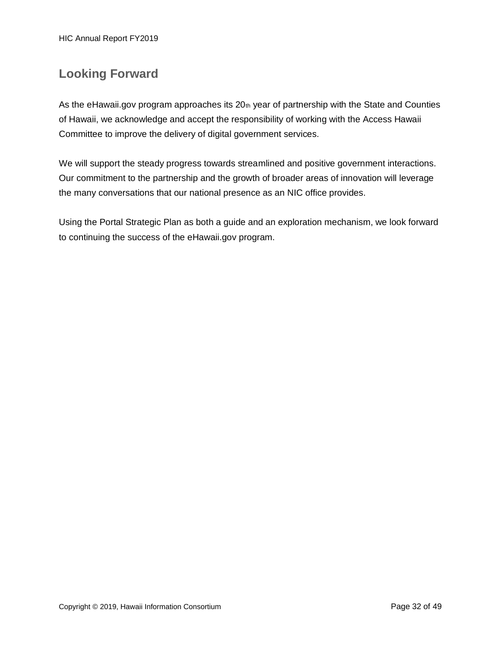### <span id="page-31-0"></span>**Looking Forward**

As the eHawaii.gov program approaches its 20th year of partnership with the State and Counties of Hawaii, we acknowledge and accept the responsibility of working with the Access Hawaii Committee to improve the delivery of digital government services.

We will support the steady progress towards streamlined and positive government interactions. Our commitment to the partnership and the growth of broader areas of innovation will leverage the many conversations that our national presence as an NIC office provides.

Using the Portal Strategic Plan as both a guide and an exploration mechanism, we look forward to continuing the success of the eHawaii.gov program.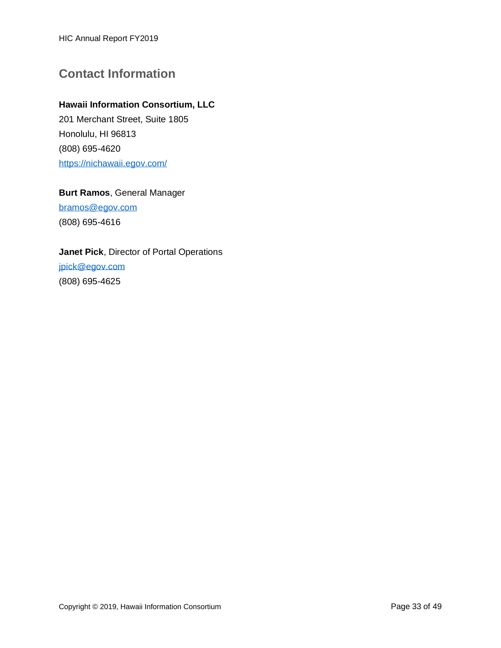HIC Annual Report FY2019

### <span id="page-32-0"></span>**Contact Information**

#### **Hawaii Information Consortium, LLC**

201 Merchant Street, Suite 1805 Honolulu, HI 96813 (808) 695-4620 <https://nichawaii.egov.com/>

#### **Burt Ramos**, General Manager

[bramos@egov.com](mailto:Bramos@egov.com) (808) 695-4616

#### **Janet Pick**, Director of Portal Operations

[jpick@egov.com](mailto:jpick@egov.com) (808) 695-4625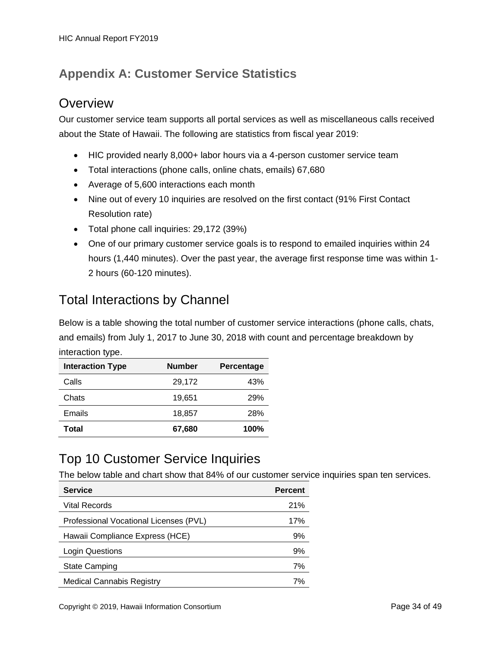### <span id="page-33-0"></span>**Appendix A: Customer Service Statistics**

### **Overview**

Our customer service team supports all portal services as well as miscellaneous calls received about the State of Hawaii. The following are statistics from fiscal year 2019:

- HIC provided nearly 8,000+ labor hours via a 4-person customer service team
- Total interactions (phone calls, online chats, emails) 67,680
- Average of 5,600 interactions each month
- Nine out of every 10 inquiries are resolved on the first contact (91% First Contact Resolution rate)
- Total phone call inquiries: 29,172 (39%)
- One of our primary customer service goals is to respond to emailed inquiries within 24 hours (1,440 minutes). Over the past year, the average first response time was within 1- 2 hours (60-120 minutes).

### Total Interactions by Channel

Below is a table showing the total number of customer service interactions (phone calls, chats, and emails) from July 1, 2017 to June 30, 2018 with count and percentage breakdown by interaction type.

| <b>Interaction Type</b> | <b>Number</b> | Percentage |
|-------------------------|---------------|------------|
| Calls                   | 29,172        | 43%        |
| Chats                   | 19,651        | 29%        |
| Emails                  | 18,857        | 28%        |
| Total                   | 67,680        | 100%       |

### Top 10 Customer Service Inquiries

The below table and chart show that 84% of our customer service inquiries span ten services.

| <b>Service</b>                         | <b>Percent</b> |
|----------------------------------------|----------------|
| Vital Records                          | 21%            |
| Professional Vocational Licenses (PVL) | 17%            |
| Hawaii Compliance Express (HCE)        | 9%             |
| Login Questions                        | 9%             |
| <b>State Camping</b>                   | 7%             |
| <b>Medical Cannabis Registry</b>       | 7%             |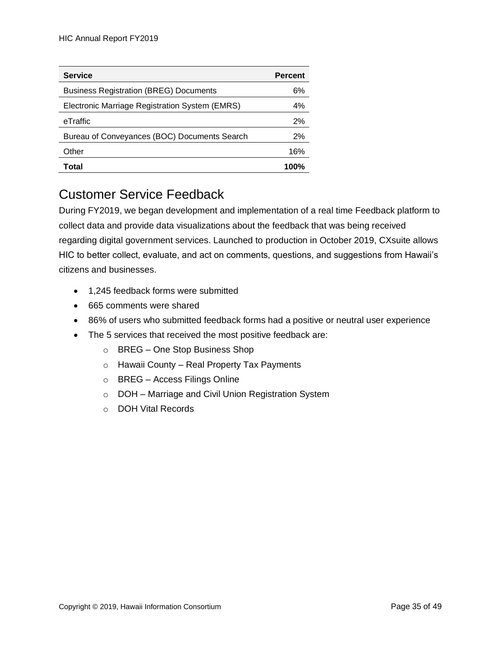| <b>Service</b>                                 | <b>Percent</b> |
|------------------------------------------------|----------------|
| <b>Business Registration (BREG) Documents</b>  | 6%             |
| Electronic Marriage Registration System (EMRS) | 4%             |
| eTraffic                                       | 2%             |
| Bureau of Conveyances (BOC) Documents Search   | 2%             |
| Other                                          | 16%            |
| Total                                          | 100%           |

### Customer Service Feedback

During FY2019, we began development and implementation of a real time Feedback platform to collect data and provide data visualizations about the feedback that was being received regarding digital government services. Launched to production in October 2019, CXsuite allows HIC to better collect, evaluate, and act on comments, questions, and suggestions from Hawaii's citizens and businesses.

- 1,245 feedback forms were submitted
- 665 comments were shared
- 86% of users who submitted feedback forms had a positive or neutral user experience
- The 5 services that received the most positive feedback are:
	- o BREG One Stop Business Shop
	- $\circ$  Hawaii County Real Property Tax Payments
	- o BREG Access Filings Online
	- o DOH Marriage and Civil Union Registration System
	- o DOH Vital Records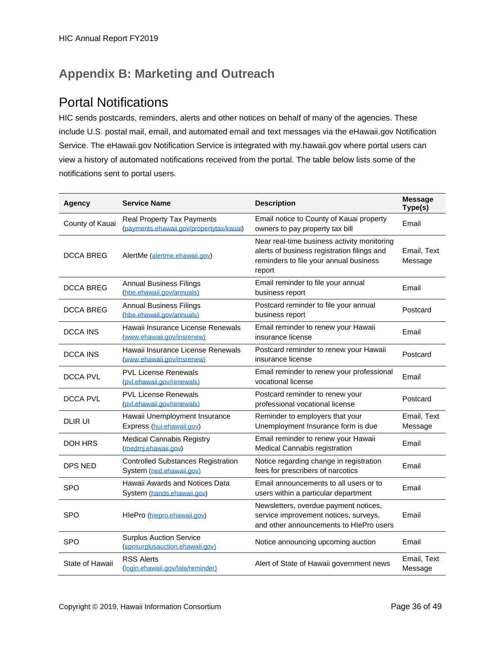### <span id="page-35-0"></span>**Appendix B: Marketing and Outreach**

### Portal Notifications

HIC sends postcards, reminders, alerts and other notices on behalf of many of the agencies. These include U.S. postal mail, email, and automated email and text messages via the eHawaii.gov Notification Service. The eHawaii.gov Notification Service is integrated with my.hawaii.gov where portal users can view a history of automated notifications received from the portal. The table below lists some of the notifications sent to portal users.

| <b>Agency</b>    | <b>Service Name</b>                                                    | <b>Description</b>                                                                                                                             | <b>Message</b><br>Type(s) |
|------------------|------------------------------------------------------------------------|------------------------------------------------------------------------------------------------------------------------------------------------|---------------------------|
| County of Kauai  | Real Property Tax Payments<br>(payments.ehawaii.gov/propertytax/kauai) | Email notice to County of Kauai property<br>owners to pay property tax bill                                                                    | Email                     |
| <b>DCCA BREG</b> | AlertMe (alertme.ehawaii.gov)                                          | Near real-time business activity monitoring<br>alerts of business registration filings and<br>reminders to file your annual business<br>report | Email, Text<br>Message    |
| <b>DCCA BREG</b> | <b>Annual Business Filings</b><br>(hbe.ehawaii.gov/annuals)            | Email reminder to file your annual<br>business report                                                                                          | Email                     |
| <b>DCCA BREG</b> | <b>Annual Business Filings</b><br>(hbe.ehawaii.gov/annuals)            | Postcard reminder to file your annual<br>business report                                                                                       | Postcard                  |
| DCCA INS         | Hawaii Insurance License Renewals<br>(www.ehawaii.gov/insrenew)        | Email reminder to renew your Hawaii<br>insurance license                                                                                       | Email                     |
| <b>DCCA INS</b>  | Hawaii Insurance License Renewals<br>(www.ehawaii.gov/insrenew)        | Postcard reminder to renew your Hawaii<br>insurance license                                                                                    | Postcard                  |
| DCCA PVL         | <b>PVL License Renewals</b><br>(pvl.ehawaii.gov/renewals)              | Email reminder to renew your professional<br>vocational license                                                                                | Email                     |
| <b>DCCA PVL</b>  | <b>PVL License Renewals</b><br>(pvl.ehawaii.gov/renewals)              | Postcard reminder to renew your<br>professional vocational license                                                                             | Postcard                  |
| <b>DLIR UI</b>   | Hawaii Unemployment Insurance<br>Express (hui.ehawaii.gov)             | Reminder to employers that your<br>Unemployment Insurance form is due                                                                          | Email, Text<br>Message    |
| DOH HRS          | <b>Medical Cannabis Registry</b><br>(medmj.ehawaii.gov)                | Email reminder to renew your Hawaii<br>Medical Cannabis registration                                                                           | Email                     |
| DPS NED          | <b>Controlled Substances Registration</b><br>System (ned.ehawaii.gov)  | Notice regarding change in registration<br>fees for prescribers of narcotics                                                                   | Email                     |
| <b>SPO</b>       | Hawaii Awards and Notices Data<br>System (hands.ehawaii.gov)           | Email announcements to all users or to<br>users within a particular department                                                                 | Email                     |
| <b>SPO</b>       | HlePro (hiepro.ehawaii.gov)                                            | Newsletters, overdue payment notices,<br>service improvement notices, surveys,<br>and other announcements to HIePro users                      | Email                     |
| <b>SPO</b>       | <b>Surplus Auction Service</b><br>(sposurplusauction.ehawaii.gov)      | Notice announcing upcoming auction                                                                                                             | Email                     |
| State of Hawaii  | <b>RSS Alerts</b><br>(login.ehawaii.gov/lala/reminder)                 | Alert of State of Hawaii government news                                                                                                       | Email, Text<br>Message    |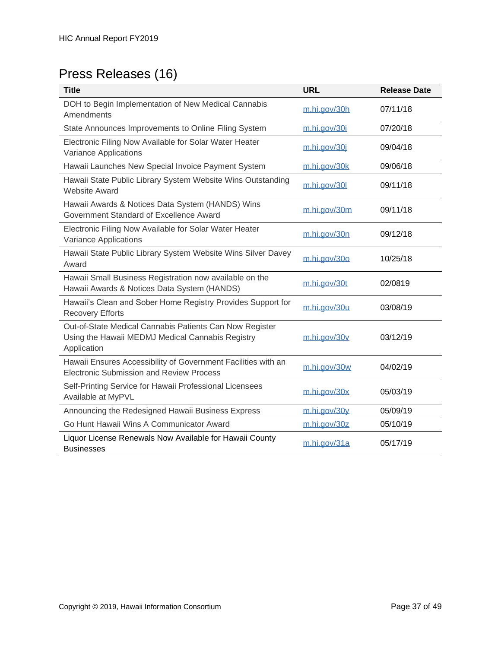# Press Releases (16)

| <b>Title</b>                                                                                                               | <b>URL</b>   | <b>Release Date</b> |
|----------------------------------------------------------------------------------------------------------------------------|--------------|---------------------|
| DOH to Begin Implementation of New Medical Cannabis<br>Amendments                                                          | m.hi.gov/30h | 07/11/18            |
| State Announces Improvements to Online Filing System                                                                       | m.hi.gov/30i | 07/20/18            |
| Electronic Filing Now Available for Solar Water Heater<br>Variance Applications                                            | m.hi.gov/30j | 09/04/18            |
| Hawaii Launches New Special Invoice Payment System                                                                         | m.hi.gov/30k | 09/06/18            |
| Hawaii State Public Library System Website Wins Outstanding<br><b>Website Award</b>                                        | m.hi.gov/30l | 09/11/18            |
| Hawaii Awards & Notices Data System (HANDS) Wins<br>Government Standard of Excellence Award                                | m.hi.gov/30m | 09/11/18            |
| Electronic Filing Now Available for Solar Water Heater<br>Variance Applications                                            | m.hi.gov/30n | 09/12/18            |
| Hawaii State Public Library System Website Wins Silver Davey<br>Award                                                      | m.hi.gov/30o | 10/25/18            |
| Hawaii Small Business Registration now available on the<br>Hawaii Awards & Notices Data System (HANDS)                     | m.hi.gov/30t | 02/0819             |
| Hawaii's Clean and Sober Home Registry Provides Support for<br><b>Recovery Efforts</b>                                     | m.hi.gov/30u | 03/08/19            |
| Out-of-State Medical Cannabis Patients Can Now Register<br>Using the Hawaii MEDMJ Medical Cannabis Registry<br>Application | m.hi.gov/30v | 03/12/19            |
| Hawaii Ensures Accessibility of Government Facilities with an<br><b>Electronic Submission and Review Process</b>           | m.hi.gov/30w | 04/02/19            |
| Self-Printing Service for Hawaii Professional Licensees<br>Available at MyPVL                                              | m.hi.gov/30x | 05/03/19            |
| Announcing the Redesigned Hawaii Business Express                                                                          | m.hi.gov/30y | 05/09/19            |
| Go Hunt Hawaii Wins A Communicator Award                                                                                   | m.hi.gov/30z | 05/10/19            |
| Liquor License Renewals Now Available for Hawaii County<br><b>Businesses</b>                                               | m.hi.gov/31a | 05/17/19            |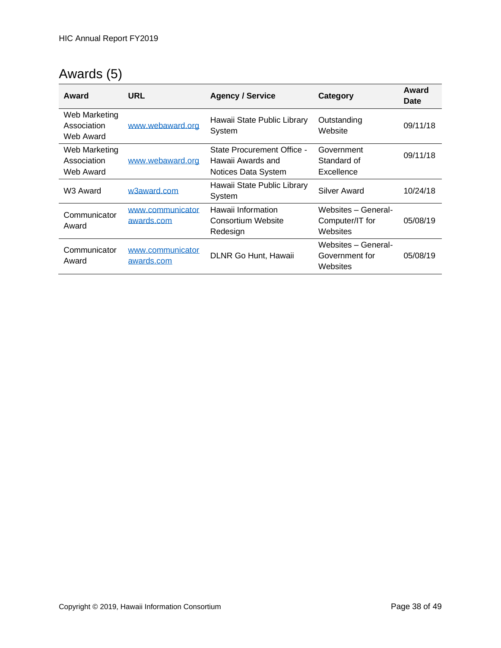# Awards (5)

| Award                                     | URL                            | <b>Agency / Service</b>                                                | Category                                           | Award<br>Date |
|-------------------------------------------|--------------------------------|------------------------------------------------------------------------|----------------------------------------------------|---------------|
| Web Marketing<br>Association<br>Web Award | www.webaward.org               | Hawaii State Public Library<br>System                                  | Outstanding<br>Website                             | 09/11/18      |
| Web Marketing<br>Association<br>Web Award | www.webaward.org               | State Procurement Office -<br>Hawaii Awards and<br>Notices Data System | Government<br>Standard of<br>Excellence            | 09/11/18      |
| W <sub>3</sub> Award                      | w3award.com                    | Hawaii State Public Library<br>System                                  | Silver Award                                       | 10/24/18      |
| Communicator<br>Award                     | www.communicator<br>awards.com | Hawaii Information<br>Consortium Website<br>Redesign                   | Websites - General-<br>Computer/IT for<br>Websites | 05/08/19      |
| Communicator<br>Award                     | www.communicator<br>awards.com | DLNR Go Hunt, Hawaii                                                   | Websites - General-<br>Government for<br>Websites  | 05/08/19      |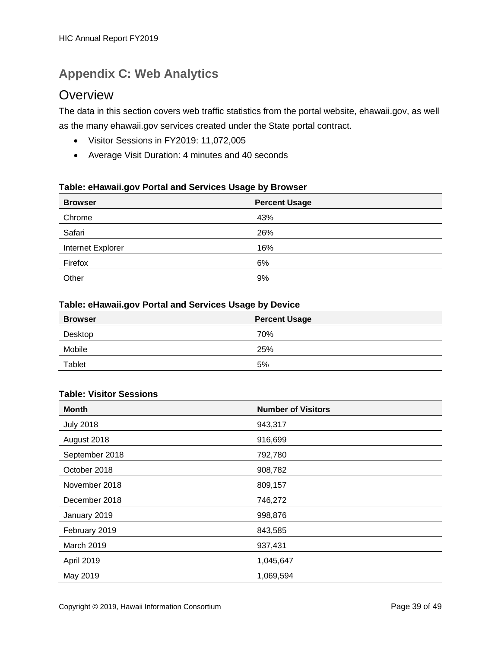### <span id="page-38-0"></span>**Appendix C: Web Analytics**

### **Overview**

The data in this section covers web traffic statistics from the portal website, ehawaii.gov, as well as the many ehawaii.gov services created under the State portal contract.

- Visitor Sessions in FY2019: 11,072,005
- Average Visit Duration: 4 minutes and 40 seconds

#### **Table: eHawaii.gov Portal and Services Usage by Browser**

| <b>Browser</b>    | <b>Percent Usage</b> |
|-------------------|----------------------|
| Chrome            | 43%                  |
| Safari            | 26%                  |
| Internet Explorer | 16%                  |
| Firefox           | 6%                   |
| Other             | 9%                   |

#### **Table: eHawaii.gov Portal and Services Usage by Device**

| <b>Browser</b> | <b>Percent Usage</b> |
|----------------|----------------------|
| Desktop        | 70%                  |
| Mobile         | 25%                  |
| Tablet         | 5%                   |

#### **Table: Visitor Sessions**

| <b>Month</b>     | <b>Number of Visitors</b> |
|------------------|---------------------------|
| <b>July 2018</b> | 943,317                   |
| August 2018      | 916,699                   |
| September 2018   | 792,780                   |
| October 2018     | 908,782                   |
| November 2018    | 809,157                   |
| December 2018    | 746,272                   |
| January 2019     | 998,876                   |
| February 2019    | 843,585                   |
| March 2019       | 937,431                   |
| April 2019       | 1,045,647                 |
| May 2019         | 1,069,594                 |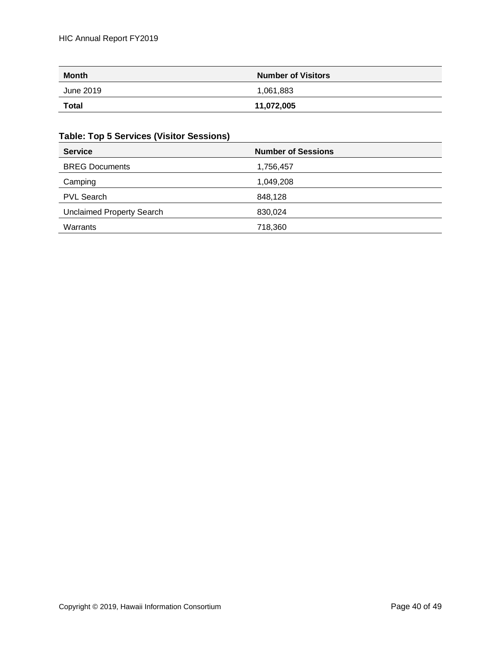| <b>Month</b> | <b>Number of Visitors</b> |
|--------------|---------------------------|
| June 2019    | 1,061,883                 |
| <b>Total</b> | 11,072,005                |

#### **Table: Top 5 Services (Visitor Sessions)**

| <b>Service</b>                   | <b>Number of Sessions</b> |
|----------------------------------|---------------------------|
| <b>BREG Documents</b>            | 1,756,457                 |
| Camping                          | 1,049,208                 |
| <b>PVL Search</b>                | 848,128                   |
| <b>Unclaimed Property Search</b> | 830,024                   |
| Warrants                         | 718,360                   |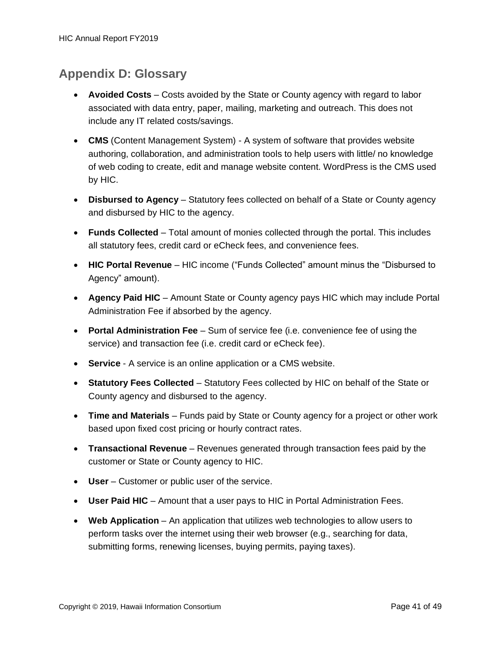### <span id="page-40-0"></span>**Appendix D: Glossary**

- **Avoided Costs** Costs avoided by the State or County agency with regard to labor associated with data entry, paper, mailing, marketing and outreach. This does not include any IT related costs/savings.
- **CMS** (Content Management System) A system of software that provides website authoring, collaboration, and administration tools to help users with little/ no knowledge of web coding to create, edit and manage website content. WordPress is the CMS used by HIC.
- **Disbursed to Agency** Statutory fees collected on behalf of a State or County agency and disbursed by HIC to the agency.
- **Funds Collected**  Total amount of monies collected through the portal. This includes all statutory fees, credit card or eCheck fees, and convenience fees.
- **HIC Portal Revenue** HIC income ("Funds Collected" amount minus the "Disbursed to Agency" amount).
- **Agency Paid HIC**  Amount State or County agency pays HIC which may include Portal Administration Fee if absorbed by the agency.
- **Portal Administration Fee**  Sum of service fee (i.e. convenience fee of using the service) and transaction fee (i.e. credit card or eCheck fee).
- **Service** A service is an online application or a CMS website.
- **Statutory Fees Collected**  Statutory Fees collected by HIC on behalf of the State or County agency and disbursed to the agency.
- **Time and Materials**  Funds paid by State or County agency for a project or other work based upon fixed cost pricing or hourly contract rates.
- **Transactional Revenue**  Revenues generated through transaction fees paid by the customer or State or County agency to HIC.
- **User**  Customer or public user of the service.
- **User Paid HIC**  Amount that a user pays to HIC in Portal Administration Fees.
- **Web Application** An application that utilizes web technologies to allow users to perform tasks over the internet using their web browser (e.g., searching for data, submitting forms, renewing licenses, buying permits, paying taxes).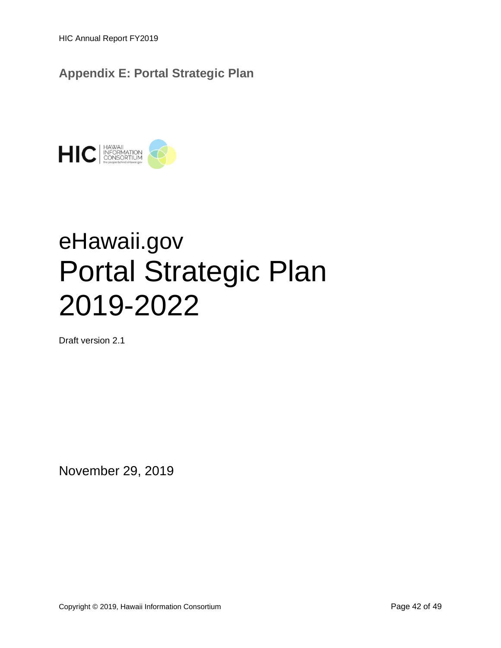HIC Annual Report FY2019

<span id="page-41-0"></span>**Appendix E: Portal Strategic Plan** 



# eHawaii.gov Portal Strategic Plan 2019-2022

Draft version 2.1

November 29, 2019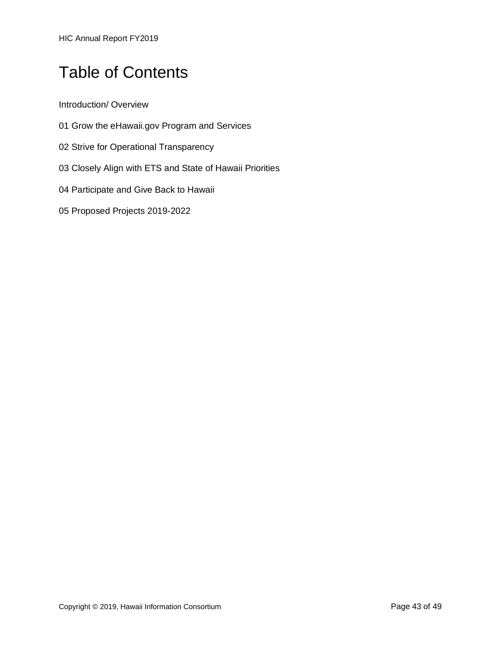HIC Annual Report FY2019

# Table of Contents

Introduction/ Overview

- 01 Grow the eHawaii.gov Program and Services
- 02 Strive for Operational Transparency
- 03 Closely Align with ETS and State of Hawaii Priorities
- 04 Participate and Give Back to Hawaii
- 05 Proposed Projects 2019-2022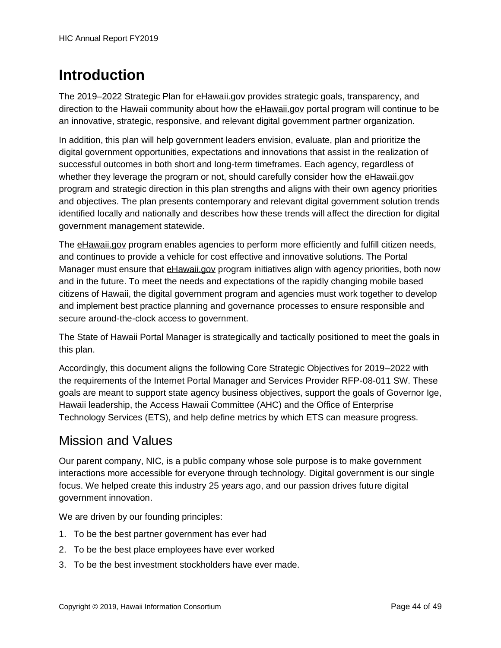# **Introduction**

The 2019–2022 Strategic Plan for [eHawaii.gov](http://ehawaii.gov/) provides strategic goals, transparency, and direction to the Hawaii community about how the [eHawaii.gov](http://ehawaii.gov/) portal program will continue to be an innovative, strategic, responsive, and relevant digital government partner organization.

In addition, this plan will help government leaders envision, evaluate, plan and prioritize the digital government opportunities, expectations and innovations that assist in the realization of successful outcomes in both short and long-term timeframes. Each agency, regardless of whether they leverage the program or not, should carefully consider how the [eHawaii.gov](http://ehawaii.gov/) program and strategic direction in this plan strengths and aligns with their own agency priorities and objectives. The plan presents contemporary and relevant digital government solution trends identified locally and nationally and describes how these trends will affect the direction for digital government management statewide.

The [eHawaii.gov](http://ehawaii.gov/) program enables agencies to perform more efficiently and fulfill citizen needs, and continues to provide a vehicle for cost effective and innovative solutions. The Portal Manager must ensure that [eHawaii.gov](http://ehawaii.gov/) program initiatives align with agency priorities, both now and in the future. To meet the needs and expectations of the rapidly changing mobile based citizens of Hawaii, the digital government program and agencies must work together to develop and implement best practice planning and governance processes to ensure responsible and secure around-the-clock access to government.

The State of Hawaii Portal Manager is strategically and tactically positioned to meet the goals in this plan.

Accordingly, this document aligns the following Core Strategic Objectives for 2019–2022 with the requirements of the Internet Portal Manager and Services Provider RFP-08-011 SW. These goals are meant to support state agency business objectives, support the goals of Governor Ige, Hawaii leadership, the Access Hawaii Committee (AHC) and the Office of Enterprise Technology Services (ETS), and help define metrics by which ETS can measure progress.

### Mission and Values

Our parent company, NIC, is a public company whose sole purpose is to make government interactions more accessible for everyone through technology. Digital government is our single focus. We helped create this industry 25 years ago, and our passion drives future digital government innovation.

We are driven by our founding principles:

- 1. To be the best partner government has ever had
- 2. To be the best place employees have ever worked
- 3. To be the best investment stockholders have ever made.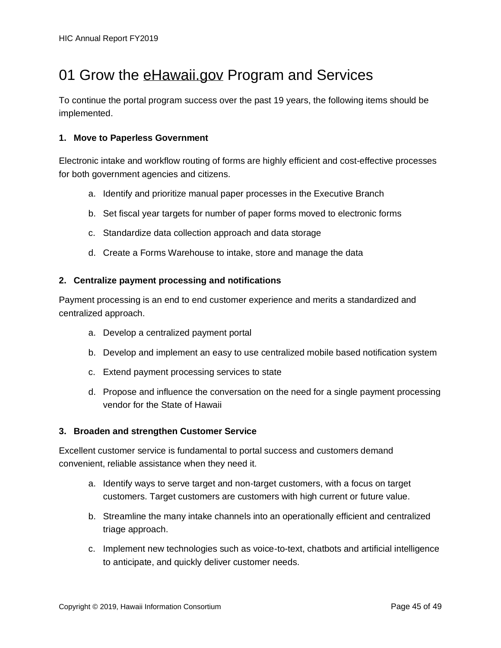# 01 Grow the [eHawaii.gov](http://ehawaii.gov/) Program and Services

To continue the portal program success over the past 19 years, the following items should be implemented.

#### **1. Move to Paperless Government**

Electronic intake and workflow routing of forms are highly efficient and cost-effective processes for both government agencies and citizens.

- a. Identify and prioritize manual paper processes in the Executive Branch
- b. Set fiscal year targets for number of paper forms moved to electronic forms
- c. Standardize data collection approach and data storage
- d. Create a Forms Warehouse to intake, store and manage the data

#### **2. Centralize payment processing and notifications**

Payment processing is an end to end customer experience and merits a standardized and centralized approach.

- a. Develop a centralized payment portal
- b. Develop and implement an easy to use centralized mobile based notification system
- c. Extend payment processing services to state
- d. Propose and influence the conversation on the need for a single payment processing vendor for the State of Hawaii

#### **3. Broaden and strengthen Customer Service**

Excellent customer service is fundamental to portal success and customers demand convenient, reliable assistance when they need it.

- a. Identify ways to serve target and non-target customers, with a focus on target customers. Target customers are customers with high current or future value.
- b. Streamline the many intake channels into an operationally efficient and centralized triage approach.
- c. Implement new technologies such as voice-to-text, chatbots and artificial intelligence to anticipate, and quickly deliver customer needs.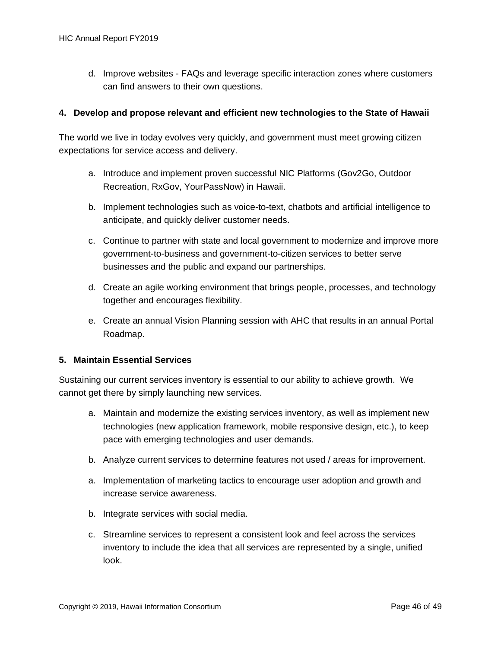d. Improve websites - FAQs and leverage specific interaction zones where customers can find answers to their own questions.

#### **4. Develop and propose relevant and efficient new technologies to the State of Hawaii**

The world we live in today evolves very quickly, and government must meet growing citizen expectations for service access and delivery.

- a. Introduce and implement proven successful NIC Platforms (Gov2Go, Outdoor Recreation, RxGov, YourPassNow) in Hawaii.
- b. Implement technologies such as voice-to-text, chatbots and artificial intelligence to anticipate, and quickly deliver customer needs.
- c. Continue to partner with state and local government to modernize and improve more government-to-business and government-to-citizen services to better serve businesses and the public and expand our partnerships.
- d. Create an agile working environment that brings people, processes, and technology together and encourages flexibility.
- e. Create an annual Vision Planning session with AHC that results in an annual Portal Roadmap.

#### **5. Maintain Essential Services**

Sustaining our current services inventory is essential to our ability to achieve growth. We cannot get there by simply launching new services.

- a. Maintain and modernize the existing services inventory, as well as implement new technologies (new application framework, mobile responsive design, etc.), to keep pace with emerging technologies and user demands.
- b. Analyze current services to determine features not used / areas for improvement.
- a. Implementation of marketing tactics to encourage user adoption and growth and increase service awareness.
- b. Integrate services with social media.
- c. Streamline services to represent a consistent look and feel across the services inventory to include the idea that all services are represented by a single, unified look.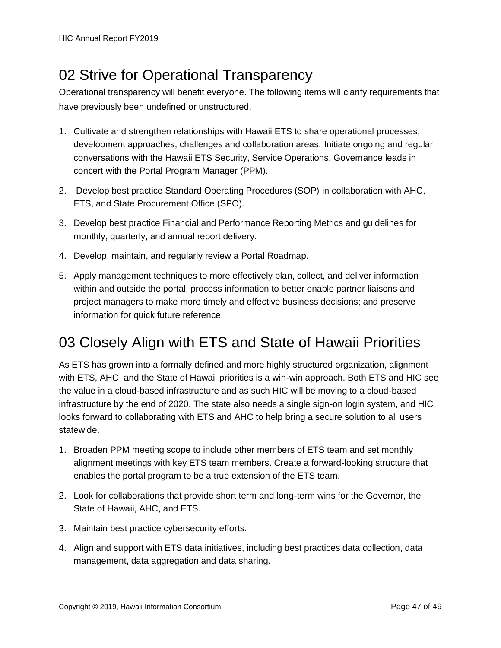# 02 Strive for Operational Transparency

Operational transparency will benefit everyone. The following items will clarify requirements that have previously been undefined or unstructured.

- 1. Cultivate and strengthen relationships with Hawaii ETS to share operational processes, development approaches, challenges and collaboration areas. Initiate ongoing and regular conversations with the Hawaii ETS Security, Service Operations, Governance leads in concert with the Portal Program Manager (PPM).
- 2. Develop best practice Standard Operating Procedures (SOP) in collaboration with AHC, ETS, and State Procurement Office (SPO).
- 3. Develop best practice Financial and Performance Reporting Metrics and guidelines for monthly, quarterly, and annual report delivery.
- 4. Develop, maintain, and regularly review a Portal Roadmap.
- 5. Apply management techniques to more effectively plan, collect, and deliver information within and outside the portal; process information to better enable partner liaisons and project managers to make more timely and effective business decisions; and preserve information for quick future reference.

# 03 Closely Align with ETS and State of Hawaii Priorities

As ETS has grown into a formally defined and more highly structured organization, alignment with ETS, AHC, and the State of Hawaii priorities is a win-win approach. Both ETS and HIC see the value in a cloud-based infrastructure and as such HIC will be moving to a cloud-based infrastructure by the end of 2020. The state also needs a single sign-on login system, and HIC looks forward to collaborating with ETS and AHC to help bring a secure solution to all users statewide.

- 1. Broaden PPM meeting scope to include other members of ETS team and set monthly alignment meetings with key ETS team members. Create a forward-looking structure that enables the portal program to be a true extension of the ETS team.
- 2. Look for collaborations that provide short term and long-term wins for the Governor, the State of Hawaii, AHC, and ETS.
- 3. Maintain best practice cybersecurity efforts.
- 4. Align and support with ETS data initiatives, including best practices data collection, data management, data aggregation and data sharing.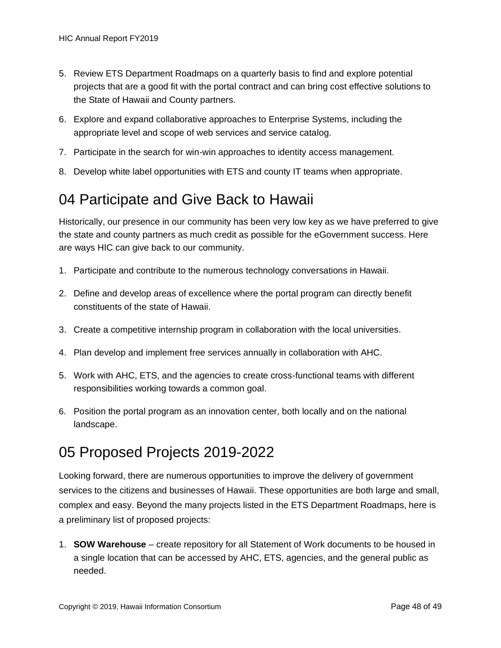- 5. Review ETS Department Roadmaps on a quarterly basis to find and explore potential projects that are a good fit with the portal contract and can bring cost effective solutions to the State of Hawaii and County partners.
- 6. Explore and expand collaborative approaches to Enterprise Systems, including the appropriate level and scope of web services and service catalog.
- 7. Participate in the search for win-win approaches to identity access management.
- 8. Develop white label opportunities with ETS and county IT teams when appropriate.

# 04 Participate and Give Back to Hawaii

Historically, our presence in our community has been very low key as we have preferred to give the state and county partners as much credit as possible for the eGovernment success. Here are ways HIC can give back to our community.

- 1. Participate and contribute to the numerous technology conversations in Hawaii.
- 2. Define and develop areas of excellence where the portal program can directly benefit constituents of the state of Hawaii.
- 3. Create a competitive internship program in collaboration with the local universities.
- 4. Plan develop and implement free services annually in collaboration with AHC.
- 5. Work with AHC, ETS, and the agencies to create cross-functional teams with different responsibilities working towards a common goal.
- 6. Position the portal program as an innovation center, both locally and on the national landscape.

# 05 Proposed Projects 2019-2022

Looking forward, there are numerous opportunities to improve the delivery of government services to the citizens and businesses of Hawaii. These opportunities are both large and small, complex and easy. Beyond the many projects listed in the ETS Department Roadmaps, here is a preliminary list of proposed projects:

1. **SOW Warehouse** – create repository for all Statement of Work documents to be housed in a single location that can be accessed by AHC, ETS, agencies, and the general public as needed.